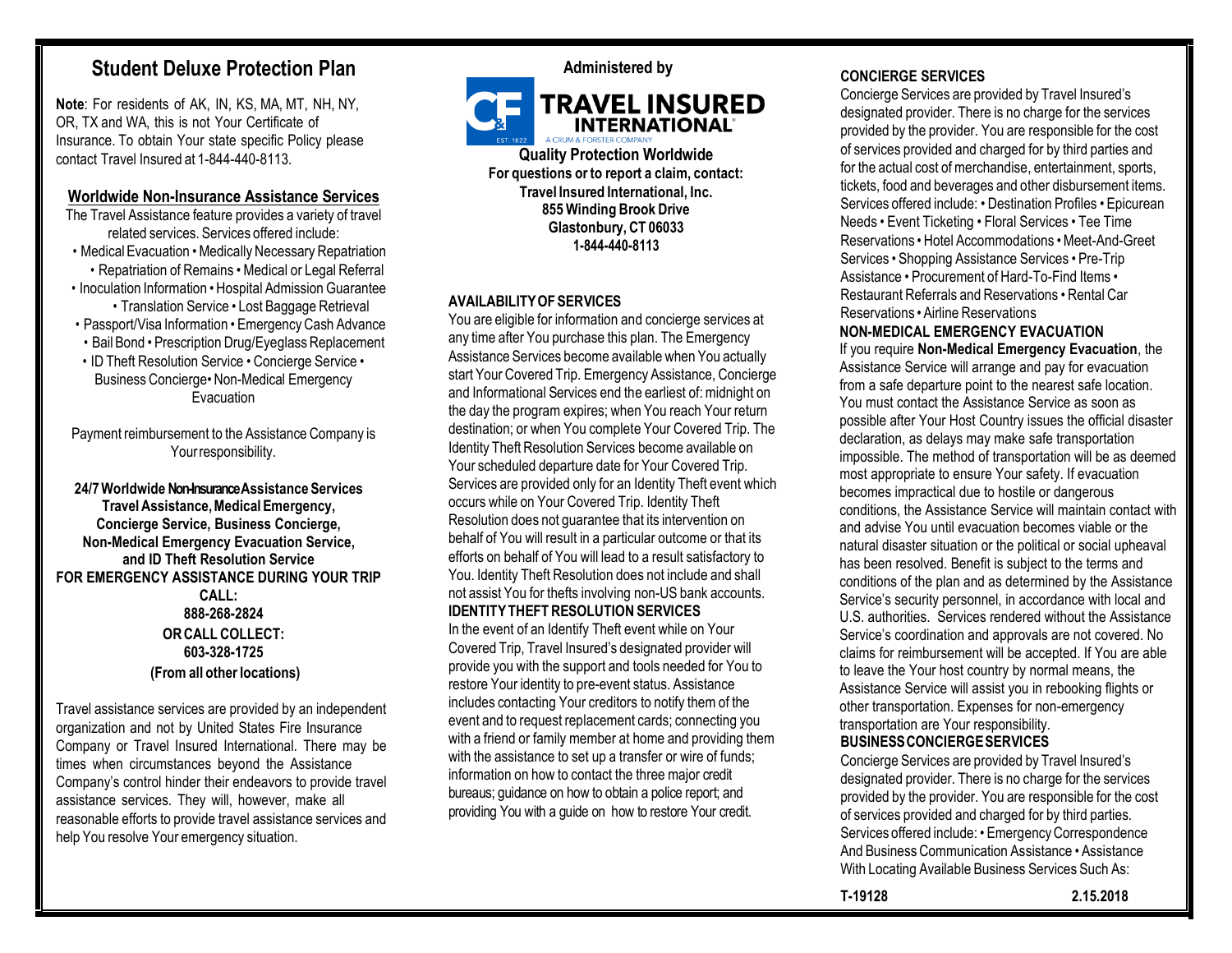# **Student Deluxe Protection Plan**

**Note**: For residents of AK, IN, KS, MA, MT, NH, NY, OR, TX and WA, this is not Your Certificate of Insurance. To obtain Your state specific Policy please contact Travel Insured at 1-844-440-8113.

# **Worldwide Non-Insurance Assistance Services**

- The Travel Assistance feature provides a variety of travel related services. Services offered include: • Medical Evacuation • Medically Necessary Repatriation • Repatriation of Remains • Medical or Legal Referral • Inoculation Information • Hospital Admission Guarantee • Translation Service • Lost Baggage Retrieval
- Passport/Visa Information Emergency Cash Advance
- Bail Bond Prescription Drug/Eyeglass Replacement
- ID Theft Resolution Service Concierge Service Business Concierge• Non-Medical Emergency **Evacuation**

Payment reimbursement to the Assistance Company is Yourresponsibility.

**24/7Worldwide Non-Insurance Assistance Services TravelAssistance,MedicalEmergency, Concierge Service, Business Concierge, Non-Medical Emergency Evacuation Service, and ID Theft Resolution Service FOR EMERGENCY ASSISTANCE DURING YOUR TRIP CALL: 888-268-2824 ORCALL COLLECT: 603-328-1725 (From all otherlocations)**

Travel assistance services are provided by an independent organization and not by United States Fire Insurance Company or Travel Insured International. There may be times when circumstances beyond the Assistance Company's control hinder their endeavors to provide travel assistance services. They will, however, make all reasonable efforts to provide travel assistance services and help You resolve Your emergency situation.



**Quality Protection Worldwide For questions or to report a claim, contact: Travel Insured International, Inc. 855 Winding Brook Drive Glastonbury,CT 06033 1-844-440-8113**

# **AVAILABILITYOF SERVICES**

You are eligible for information and concierge services at any time after You purchase this plan. The Emergency Assistance Services become available when You actually start Your Covered Trip. Emergency Assistance, Concierge and Informational Services end the earliest of: midnight on the day the program expires; when You reach Your return destination; or when You complete Your Covered Trip. The Identity Theft Resolution Services become available on Your scheduled departure date for Your Covered Trip. Services are provided only for an Identity Theft event which occurs while on Your Covered Trip. Identity Theft Resolution does not guarantee that its intervention on behalf of You will result in a particular outcome or that its efforts on behalf of You will lead to a result satisfactory to You. Identity Theft Resolution does not include and shall not assist You for thefts involving non-US bank accounts. **IDENTITYTHEFTRESOLUTION SERVICES** In the event of an Identify Theft event while on Your Covered Trip, Travel Insured's designated provider will provide you with the support and tools needed for You to restore Your identity to pre-event status. Assistance includes contacting Your creditors to notify them of the event and to request replacement cards; connecting you with a friend or family member at home and providing them with the assistance to set up a transfer or wire of funds; information on how to contact the three major credit bureaus; guidance on how to obtain a police report; and providing You with a guide on how to restore Your credit.

#### **CONCIERGE SERVICES**

Concierge Services are provided by Travel Insured's designated provider. There is no charge for the services provided by the provider. You are responsible for the cost of services provided and charged for by third parties and for the actual cost of merchandise, entertainment, sports, tickets, food and beverages and other disbursement items. Services offered include: • Destination Profiles • Epicurean Needs • Event Ticketing • Floral Services • Tee Time Reservations • Hotel Accommodations •Meet-And-Greet Services • Shopping Assistance Services • Pre-Trip Assistance • Procurement of Hard-To-Find Items • Restaurant Referrals and Reservations • Rental Car Reservations • Airline Reservations

# **NON-MEDICAL EMERGENCY EVACUATION**

If you require **Non-Medical Emergency Evacuation**, the Assistance Service will arrange and pay for evacuation from a safe departure point to the nearest safe location. You must contact the Assistance Service as soon as possible after Your Host Country issues the official disaster declaration, as delays may make safe transportation impossible. The method of transportation will be as deemed most appropriate to ensure Your safety. If evacuation becomes impractical due to hostile or dangerous conditions, the Assistance Service will maintain contact with and advise You until evacuation becomes viable or the natural disaster situation or the political or social upheaval has been resolved. Benefit is subject to the terms and conditions of the plan and as determined by the Assistance Service's security personnel, in accordance with local and U.S. authorities. Services rendered without the Assistance Service's coordination and approvals are not covered. No claims for reimbursement will be accepted. If You are able to leave the Your host country by normal means, the Assistance Service will assist you in rebooking flights or other transportation. Expenses for non-emergency transportation are Your responsibility.

# **BUSINESSCONCIERGESERVICES**

Concierge Services are provided by Travel Insured's designated provider. There is no charge for the services provided by the provider. You are responsible for the cost of services provided and charged for by third parties. Services offered include: • Emergency Correspondence And Business Communication Assistance • Assistance With Locating Available Business Services Such As: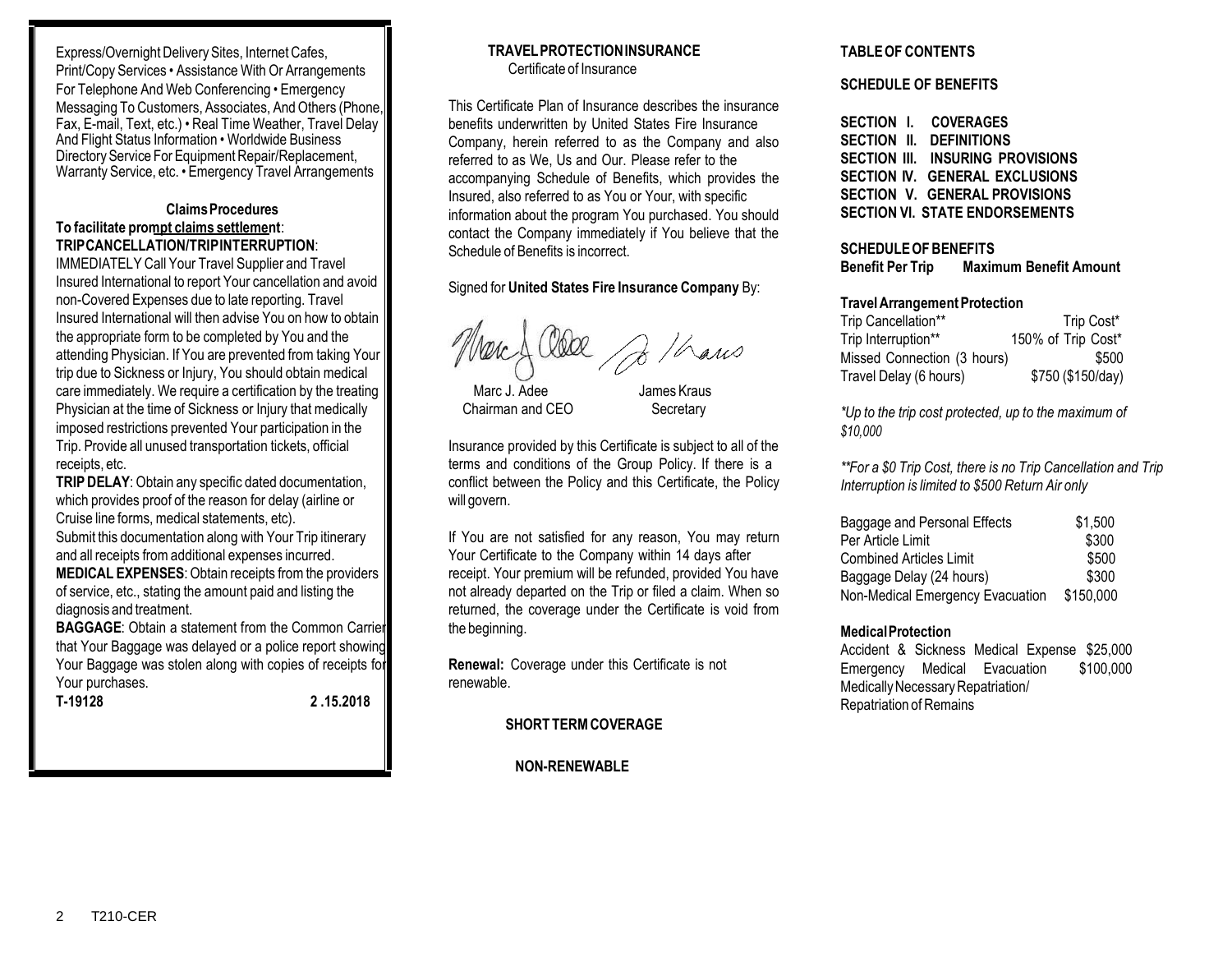Express/Overnight Delivery Sites, Internet Cafes, Print/Copy Services • Assistance With Or Arrangements For Telephone And Web Conferencing • Emergency Messaging To Customers, Associates, And Others (Phone, Fax, E-mail, Text, etc.) • Real Time Weather, Travel Delay And Flight Status Information • Worldwide Business Directory Service For Equipment Repair/Replacement, Warranty Service, etc. • Emergency Travel Arrangements

# **ClaimsProcedures To facilitate prompt claims settlement**: **TRIPCANCELLATION/TRIPINTERRUPTION**:

IMMEDIATELY Call Your Travel Supplier and Travel Insured International to report Your cancellation and avoid non-Covered Expenses due to late reporting. Travel Insured International will then advise You on how to obtain the appropriate form to be completed by You and the attending Physician. If You are prevented from taking Your trip due to Sickness or Injury, You should obtain medical care immediately. We require a certification by the treating Physician at the time of Sickness or Injury that medically imposed restrictions prevented Your participation in the Trip. Provide all unused transportation tickets, official receipts, etc.

**TRIP DELAY:** Obtain any specific dated documentation, which provides proof of the reason for delay (airline or Cruise line forms, medical statements, etc). Submit this documentation along with Your Trip itinerary and all receipts from additional expenses incurred. **MEDICAL EXPENSES:** Obtain receipts from the providers of service, etc., stating the amount paid and listing the diagnosis and treatment.

**BAGGAGE:** Obtain a statement from the Common Carrier that Your Baggage was delayed or a police report showing Your Baggage was stolen along with copies of receipts for Your purchases. **T-19128 2 .15.2018**

## **TRAVELPROTECTIONINSURANCE** Certificate of Insurance

This Certificate Plan of Insurance describes the insurance benefits underwritten by United States Fire Insurance Company, herein referred to as the Company and also referred to as We, Us and Our. Please refer to the accompanying Schedule of Benefits, which provides the Insured, also referred to as You or Your, with specific information about the program You purchased. You should contact the Company immediately if You believe that the Schedule of Benefits is incorrect.

# Signed for **United States Fire Insurance Company** By:

Jo Haws

Marc J. Adee James Kraus Chairman and CEO Secretary

Insurance provided by this Certificate is subject to all of the terms and conditions of the Group Policy. If there is a conflict between the Policy and this Certificate, the Policy will govern.

If You are not satisfied for any reason, You may return Your Certificate to the Company within 14 days after receipt. Your premium will be refunded, provided You have not already departed on the Trip or filed a claim. When so returned, the coverage under the Certificate is void from the beginning.

**Renewal:** Coverage under this Certificate is not renewable.

# **SHORT TERMCOVERAGE**

# **NON-RENEWABLE**

# **TABLEOF CONTENTS**

# **SCHEDULE OF BENEFITS**

**SECTION I. COVERAGES SECTION II. DEFINITIONS SECTION III. INSURING PROVISIONS SECTION IV. GENERAL EXCLUSIONS SECTION V. GENERAL PROVISIONS SECTION VI. STATE ENDORSEMENTS**

# **SCHEDULEOFBENEFITS**

**Benefit Per Trip Maximum Benefit Amount**

#### **TravelArrangementProtection**

| Trip Cancellation**         | Trip Cost*         |
|-----------------------------|--------------------|
| Trip Interruption**         | 150% of Trip Cost* |
| Missed Connection (3 hours) | \$500              |
| Travel Delay (6 hours)      | \$750 (\$150/day)  |

*\*Up to the trip cost protected, up to the maximum of \$10,000*

*\*\*For a \$0 Trip Cost, there is no Trip Cancellation and Trip Interruption is limited to \$500 Return Air only*

| Baggage and Personal Effects     | \$1.500   |
|----------------------------------|-----------|
| Per Article Limit                | \$300     |
| <b>Combined Articles Limit</b>   | \$500     |
| Baggage Delay (24 hours)         | \$300     |
| Non-Medical Emergency Evacuation | \$150,000 |

# **MedicalProtection**

Accident & Sickness Medical Expense \$25,000 Emergency Medical Evacuation \$100,000 Medically Necessary Repatriation/ Repatriation of Remains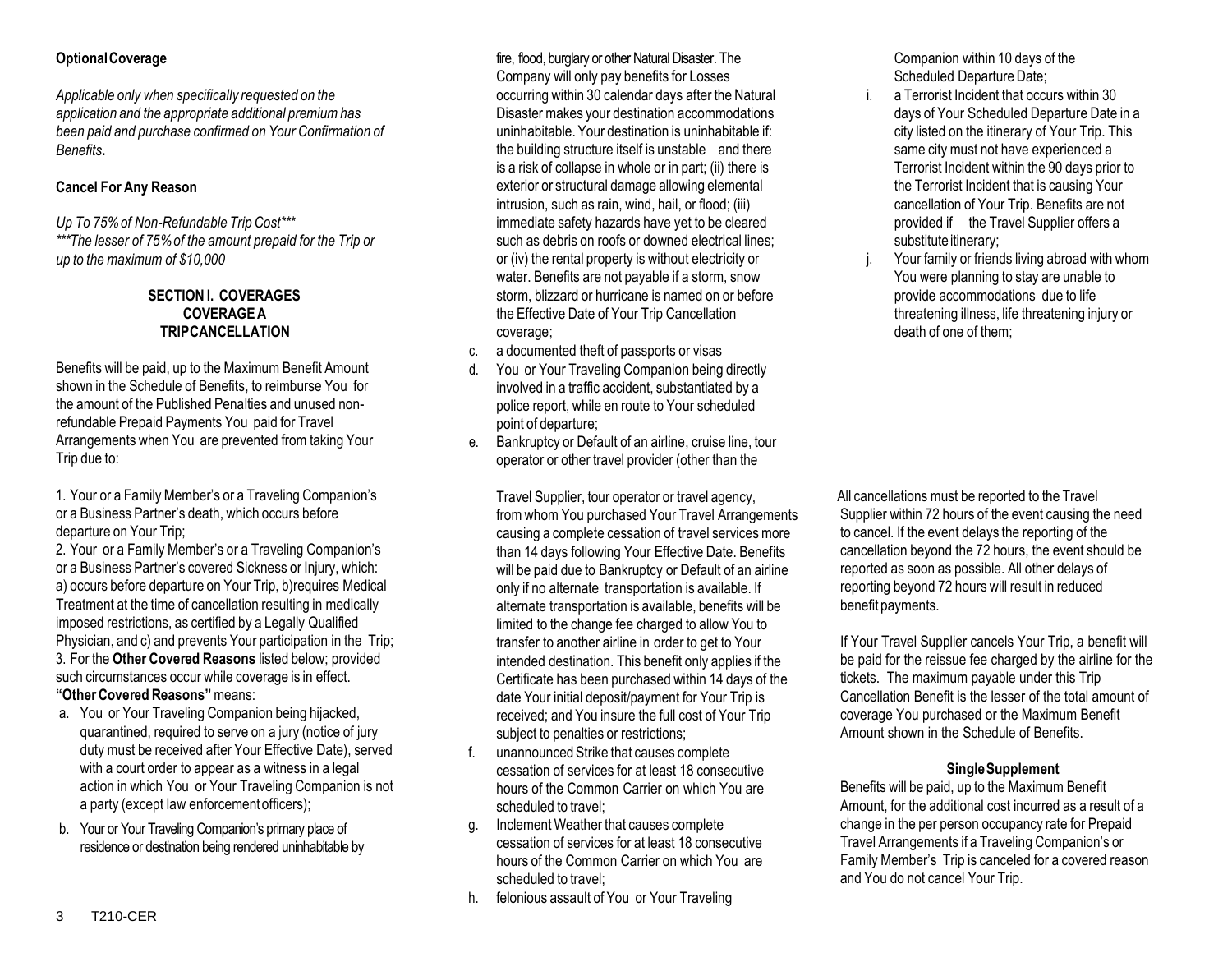Applicable only when specifically requested on the **the vertain intervent occurring** within 30 calendar days after the Natural i. a Terrorist Incident that occurs within 30 *application and the appropriate additional premiumhas* Disaster makes your destination accommodations days of Your Scheduled Departure Date in a *been paid and purchase confirmed on Your Confirmation of* uninhabitable. Your destination is uninhabitable if: city listed on the itinerary of Your Trip. This **Benefits** same city must not have experienced a sensor the building structure itself is unstable and there same city must not have experienced a

*Up To 75% of Non-Refundable Trip Cost\*\*\** immediate safety hazards have yet to be cleared \*\*The lesser of 75% of the amount prepaid for the *Trip* or such as debris on roofs or downed electrical lines; substitute itinerary;

Benefits will be paid, up to the Maximum Benefit Amount shown in the Schedule of Benefits, to reimburse You for the amount of the Published Penalties and unused nonrefundable Prepaid Payments You paid for Travel Arrangements when You are prevented from taking Your Trip due to:

1. Your or a Family Member's or a Traveling Companion's or a Business Partner's death, which occurs before departure on Your Trip;

2. Your or a Family Member's or a Traveling Companion's or a Business Partner's covered Sickness or Injury, which: a) occurs before departure on Your Trip, b)requires Medical Treatment at the time of cancellation resulting in medically imposed restrictions, as certified by a Legally Qualified Physician, and c) and prevents Your participation in the Trip; 3. For the **Other Covered Reasons** listed below; provided such circumstances occur while coverage is in effect. **"OtherCovered Reasons"**means:

- a. You or Your Traveling Companion being hijacked, quarantined, required to serve on a jury (notice of jury duty must be received after Your Effective Date), served with a court order to appear as a witness in a legal action in which You or Your Traveling Companion is not a party (except law enforcementofficers);
- b. Your or Your Traveling Companion's primary place of residence or destination being rendered uninhabitable by

**Optional Coverage discription of the set of the set of the set of the set of the set of the Set of the Set of the Set of the Set of the Set of the Set of the Set of the Set of the Set of the Set of the Set of the Set of** Company will only pay benefits for Losses is a risk of collapse in whole or in part; (ii) there is Terrorist Incident within the 90 days prior to **Cancel For Any Reason** exterior or structural damage allowing elemental the Terrorist Incident that is causing Your intrusion, such as rain, wind, hail, or flood; (iii) cancellation of Your Trip. Benefits are not<br>immediate safety hazards have yet to be cleared contract the Travel Supplier offers a water. Benefits are not payable if a storm, snow **SECTION I. COVERAGES** storm, blizzard or hurricane is named on or before provide accommodations due to life **COVERAGEA** the Effective Date of Your Trip Cancellation threatening illness, life threatening injury or **TRIPCANCELLATION coverage; coverage; contages contages contages contages contages contages contages contages contages contages contages contages contages contages contages contages co** 

- c. a documented theft of passports or visas
- d. You or Your Traveling Companion being directly involved in a traffic accident, substantiated by a police report, while en route to Your scheduled point of departure;
- e. Bankruptcy or Default of an airline, cruise line, tour operator or other travel provider (other than the

Travel Supplier, tour operator or travel agency, from whom You purchased Your Travel Arrangements causing a complete cessation of travel services more than 14 days following Your Effective Date. Benefits will be paid due to Bankruptcy or Default of an airline only if no alternate transportation is available. If alternate transportation is available, benefits will be limited to the change fee charged to allow You to transfer to another airline in order to get to Your intended destination. This benefit only applies if the Certificate has been purchased within 14 days of the date Your initial deposit/payment for Your Trip is received; and You insure the full cost of Your Trip subject to penalties or restrictions;

- f. unannounced Strike that causes complete cessation of services for at least 18 consecutive hours of the Common Carrier on which You are scheduled to travel;
- g. Inclement Weather that causes complete cessation of services for at least 18 consecutive hours of the Common Carrier on which You are scheduled to travel;
- h. felonious assault of You or Your Traveling

Companion within 10 days of the Scheduled Departure Date;

- 
- *up* to *the maximum* of \$10,000 or (iv) the rental property is without electricity or in the maximum of \$10,000 or (iv) the rental property is without electricity or in the maximum of \$10,000 or the water. Benefits are on

All cancellations must be reported to the Travel Supplier within 72 hours of the event causing the need to cancel. If the event delays the reporting of the cancellation beyond the 72 hours, the event should be reported as soon as possible. All other delays of reporting beyond 72 hours will result in reduced benefit payments.

If Your Travel Supplier cancels Your Trip, a benefit will be paid for the reissue fee charged by the airline for the tickets. The maximum payable under this Trip Cancellation Benefit is the lesser of the total amount of coverage You purchased or the Maximum Benefit Amount shown in the Schedule of Benefits.

# **SingleSupplement**

Benefits will be paid, up to the Maximum Benefit Amount, for the additional cost incurred as a result of a change in the per person occupancy rate for Prepaid Travel Arrangements if a Traveling Companion's or Family Member's Trip is canceled for a covered reason and You do not cancel Your Trip.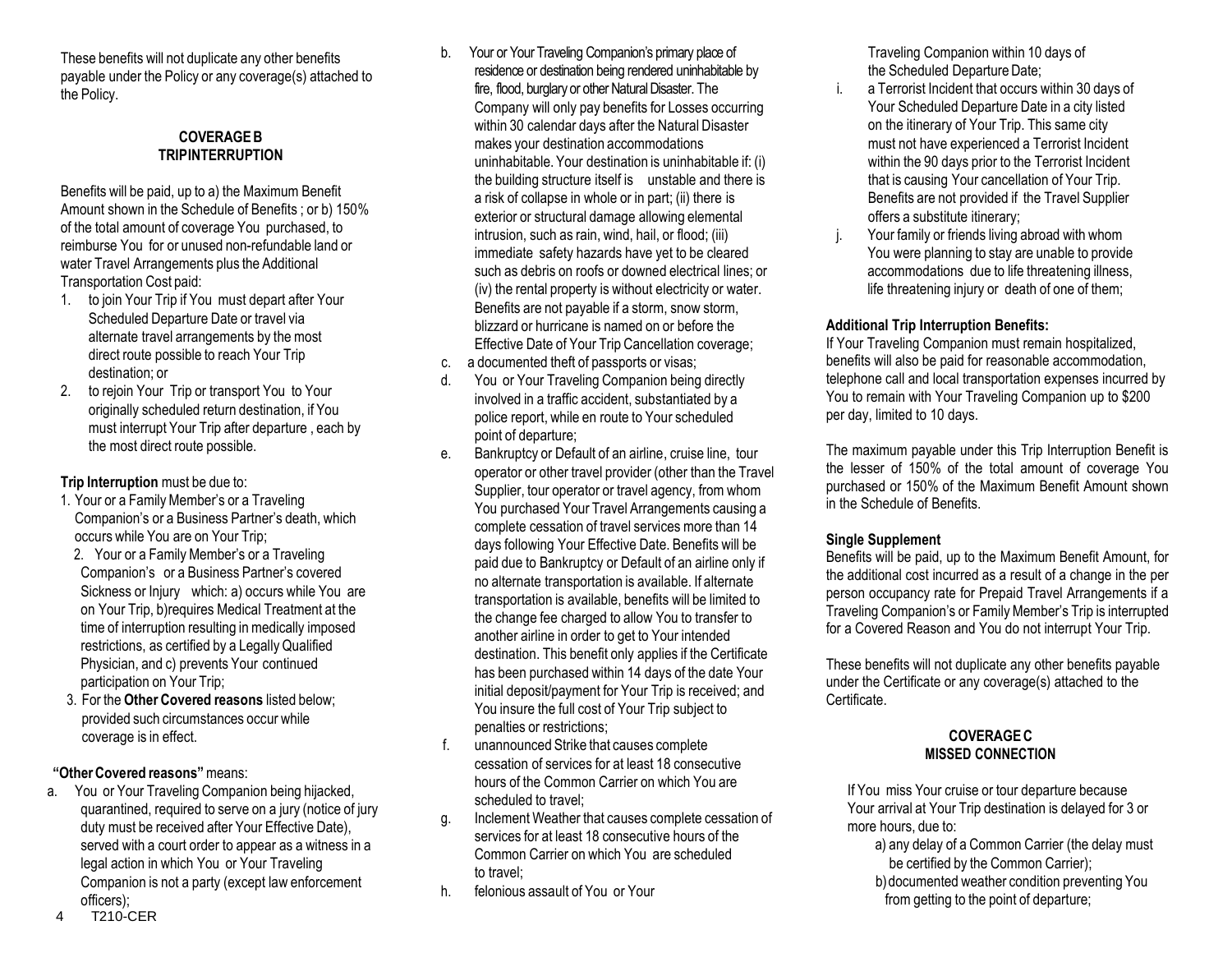These benefits will not duplicate any other benefits payable under the Policy or any coverage(s) attached to the Policy.

# **COVERAGEB TRIPINTERRUPTION**

Benefits will be paid, up to a) the Maximum Benefit Amount shown in the Schedule of Benefits ; or b) 150% of the total amount of coverage You purchased, to reimburse You for or unused non-refundable land or water Travel Arrangements plus the Additional Transportation Cost paid:

- 1. to join Your Trip if You must depart after Your Scheduled Departure Date or travel via alternate travel arrangements by the most direct route possible to reach Your Trip destination; or
- 2. to rejoin Your Trip or transport You to Your originally scheduled return destination, if You must interrupt Your Trip after departure , each by the most direct route possible.

# **Trip Interruption** must be due to:

- 1. Your or a Family Member's or a Traveling Companion's or a Business Partner's death, which occurs while You are on Your Trip;
- 2. Your or a Family Member's or a Traveling Companion's or a Business Partner's covered Sickness or Injury which: a) occurs while You are on Your Trip, b)requires Medical Treatment at the time of interruption resulting in medically imposed restrictions, as certified by a Legally Qualified Physician, and c) prevents Your continued participation on Your Trip;
- 3. For the **Other Covered reasons** listed below; provided such circumstances occur while coverage is in effect.

# **"OtherCovered reasons"**means:

a. You or Your Traveling Companion being hijacked, quarantined, required to serve on a jury (notice of jury duty must be received after Your Effective Date), served with a court order to appear as a witness in a legal action in which You or Your Traveling Companion is not a party (except law enforcement officers);

- b. Your or Your Traveling Companion's primary place of residence or destination being rendered uninhabitable by fire, flood, burglary or other Natural Disaster. The Company will only pay benefits for Losses occurring within 30 calendar days after the Natural Disaster makes your destination accommodations uninhabitable. Your destination is uninhabitable if: (i) the building structure itself is unstable and there is a risk of collapse in whole or in part; (ii) there is exterior or structural damage allowing elemental intrusion, such as rain, wind, hail, or flood; (iii) immediate safety hazards have yet to be cleared such as debris on roofs or downed electrical lines; or (iv) the rental property is without electricity or water. Benefits are not payable if a storm, snow storm, blizzard or hurricane is named on or before the Effective Date of Your Trip Cancellation coverage;
- c. a documented theft of passports or visas;
- d. You or Your Traveling Companion being directly involved in a traffic accident, substantiated by a police report, while en route to Your scheduled point of departure;
- e. Bankruptcy or Default of an airline, cruise line, tour operator or other travel provider (other than the Travel Supplier, tour operator or travel agency, from whom You purchased Your Travel Arrangements causing a complete cessation of travel services more than 14 days following Your Effective Date. Benefits will be paid due to Bankruptcy or Default of an airline only if no alternate transportation is available. If alternate transportation is available, benefits will be limited to the change fee charged to allow You to transfer to another airline in order to get to Your intended destination. This benefit only applies if the Certificate has been purchased within 14 days of the date Your initial deposit/payment for Your Trip is received; and You insure the full cost of Your Trip subject to penalties or restrictions;
- f. unannounced Strike that causes complete cessation of services for at least 18 consecutive hours of the Common Carrier on which You are scheduled to travel;
- g. Inclement Weather that causes complete cessation of services for at least 18 consecutive hours of the Common Carrier on which You are scheduled to travel;
- h. felonious assault of You or Your

Traveling Companion within 10 days of the Scheduled Departure Date:

- i. a Terrorist Incident that occurs within 30 days of Your Scheduled Departure Date in a city listed on the itinerary of Your Trip. This same city must not have experienced a Terrorist Incident within the 90 days prior to the Terrorist Incident that is causing Your cancellation of Your Trip. Benefits are not provided if the Travel Supplier offers a substitute itinerary;
- Your family or friends living abroad with whom You were planning to stay are unable to provide accommodations due to life threatening illness, life threatening injury or death of one of them;

# **Additional Trip Interruption Benefits:**

If Your Traveling Companion must remain hospitalized, benefits will also be paid for reasonable accommodation, telephone call and local transportation expenses incurred by You to remain with Your Traveling Companion up to \$200 per day, limited to 10 days.

The maximum payable under this Trip Interruption Benefit is the lesser of 150% of the total amount of coverage You purchased or 150% of the Maximum Benefit Amount shown in the Schedule of Benefits.

# **Single Supplement**

Benefits will be paid, up to the Maximum Benefit Amount, for the additional cost incurred as a result of a change in the per person occupancy rate for Prepaid Travel Arrangements if a Traveling Companion's or Family Member's Trip is interrupted for a Covered Reason and You do not interrupt Your Trip.

These benefits will not duplicate any other benefits payable under the Certificate or any coverage(s) attached to the Certificate.

# **COVERAGEC MISSED CONNECTION**

If You miss Your cruise or tour departure because Your arrival at Your Trip destination is delayed for 3 or more hours, due to:

- a) any delay of a Common Carrier (the delay must be certified by the Common Carrier);
- b)documented weather condition preventing You from getting to the point of departure;

4 T210-CER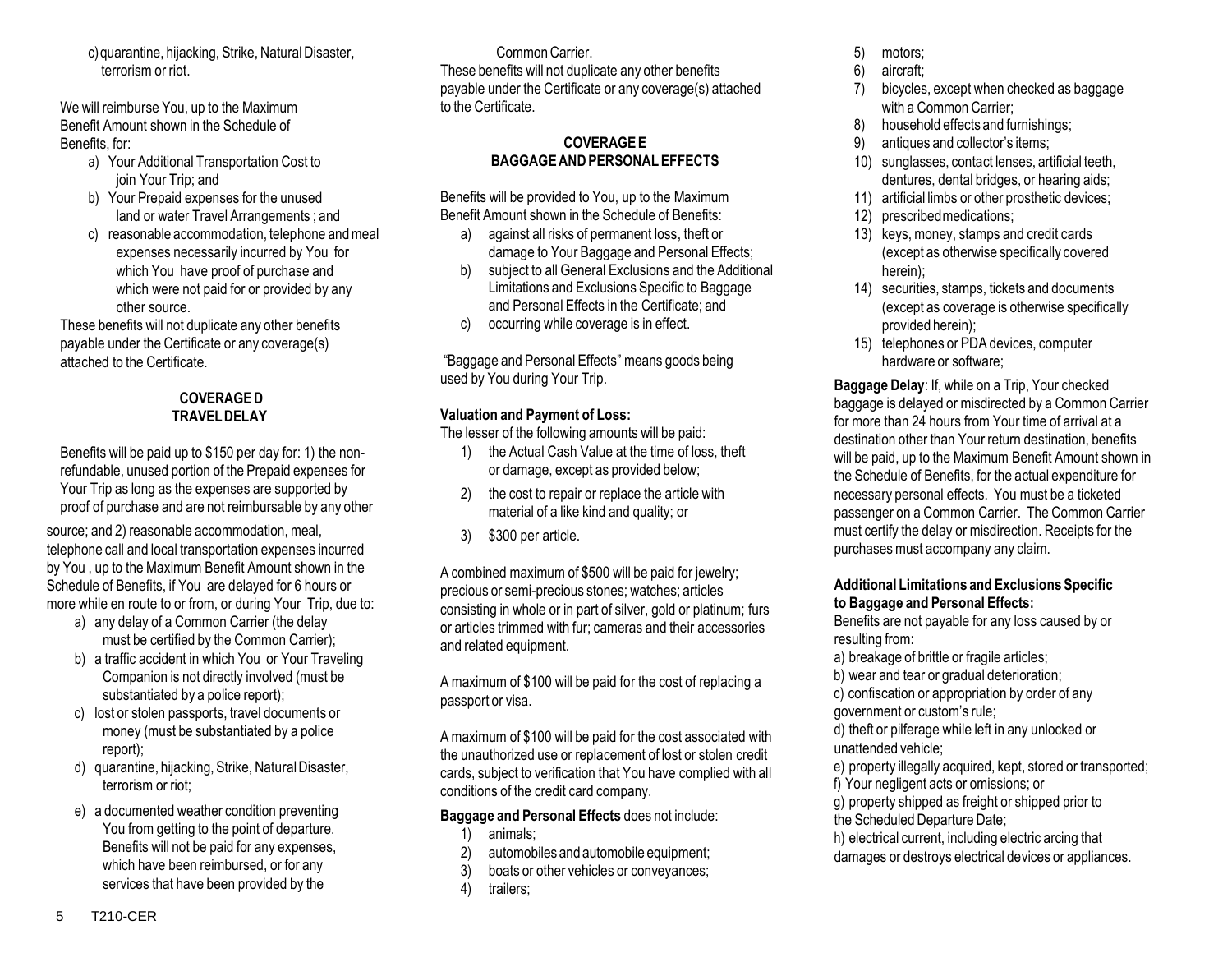c)quarantine, hijacking, Strike, NaturalDisaster, terrorism or riot.

We will reimburse You, up to the Maximum Benefit Amount shown in the Schedule of Benefits, for:

- a) Your Additional Transportation Cost to join Your Trip; and
- b) Your Prepaid expenses for the unused land or water Travel Arrangements ; and
- c) reasonable accommodation, telephone andmeal expenses necessarily incurred by You for which You have proof of purchase and which were not paid for or provided by any other source.

These benefits will not duplicate any other benefits payable under the Certificate or any coverage(s) attached to the Certificate.

# **COVERAGED TRAVELDELAY**

Benefits will be paid up to \$150 per day for: 1) the nonrefundable, unused portion of the Prepaid expenses for Your Trip as long as the expenses are supported by proof of purchase and are not reimbursable by any other

source; and 2) reasonable accommodation, meal, telephone call and local transportation expenses incurred by You , up to the Maximum Benefit Amount shown in the Schedule of Benefits, if You are delayed for 6 hours or more while en route to or from, or during Your Trip, due to:

- a) any delay of a Common Carrier (the delay must be certified by the Common Carrier);
- b) a traffic accident in which You or Your Traveling Companion is not directly involved (must be substantiated by a police report);
- c) lost or stolen passports, travel documents or money (must be substantiated by a police report);
- d) quarantine, hijacking, Strike, NaturalDisaster, terrorism or riot;
- e) a documented weather condition preventing You from getting to the point of departure. Benefits will not be paid for any expenses, which have been reimbursed, or for any services that have been provided by the

CommonCarrier.

These benefits will not duplicate any other benefits payable under the Certificate or any coverage(s) attached to the Certificate.

# **COVERAGEE BAGGAGEANDPERSONAL EFFECTS**

Benefits will be provided to You, up to the Maximum Benefit Amount shown in the Schedule of Benefits:

- a) against all risks of permanent loss, theft or damage to Your Baggage and Personal Effects;
- b) subject to all General Exclusions and the Additional Limitations and Exclusions Specific to Baggage and Personal Effects in the Certificate; and
- c) occurring while coverage is in effect.

"Baggage and Personal Effects" means goods being used by You during Your Trip.

# **Valuation and Payment of Loss:**

The lesser of the following amounts will be paid:

- 1) the Actual Cash Value at the time of loss, theft or damage, except as provided below;
- 2) the cost to repair or replace the article with material of a like kind and quality; or
- 3) \$300 per article.

A combined maximum of \$500 will be paid for jewelry; precious or semi-precious stones; watches; articles consisting in whole or in part of silver, gold or platinum; furs or articles trimmed with fur; cameras and their accessories and related equipment.

A maximum of \$100 will be paid for the cost of replacing a passport or visa.

Amaximum of \$100 will be paid for the cost associated with the unauthorized use or replacement of lost or stolen credit cards, subject to verification that You have complied with all conditions of the credit card company.

# **Baggage and Personal Effects** does not include:

- 1) animals;
- 2) automobiles and automobile equipment;
- 3) boats or other vehicles or conveyances;
- 4) trailers;
- 5) motors;
- 6) aircraft;
- 7) bicycles, except when checked as baggage with a Common Carrier;
- 8) household effects and furnishings;
- 9) antiques and collector's items;
- 10) sunglasses, contact lenses, artificial teeth, dentures, dental bridges, or hearing aids;
- 11) artificial limbs or other prosthetic devices;
- 12) prescribedmedications;
- 13) keys, money, stamps and credit cards (except as otherwise specifically covered herein);
- 14) securities, stamps, tickets and documents (except as coverage is otherwise specifically provided herein);
- 15) telephones or PDA devices, computer hardware or software;

**Baggage Delay**: If, while on a Trip, Your checked baggage is delayed or misdirected by a Common Carrier for more than 24 hours from Your time of arrival at a destination other than Your return destination, benefits will be paid, up to the Maximum Benefit Amount shown in the Schedule of Benefits, for the actual expenditure for necessary personal effects. You must be a ticketed passenger on a Common Carrier. The Common Carrier must certify the delay or misdirection. Receipts for the purchases must accompany any claim.

# **Additional Limitations and Exclusions Specific to Baggage and Personal Effects:**

Benefits are not payable for any loss caused by or resulting from:

- a) breakage of brittle or fragile articles;
- b) wear and tear or gradual deterioration;
- c) confiscation or appropriation by order of any
- government or custom's rule;
- d) theft or pilferage while left in any unlocked or unattended vehicle;
- e) property illegally acquired, kept, stored or transported;
- f) Your negligent acts or omissions; or
- g) property shipped as freight or shipped prior to the Scheduled Departure Date:
- h) electrical current, including electric arcing that
- damages or destroys electrical devices or appliances.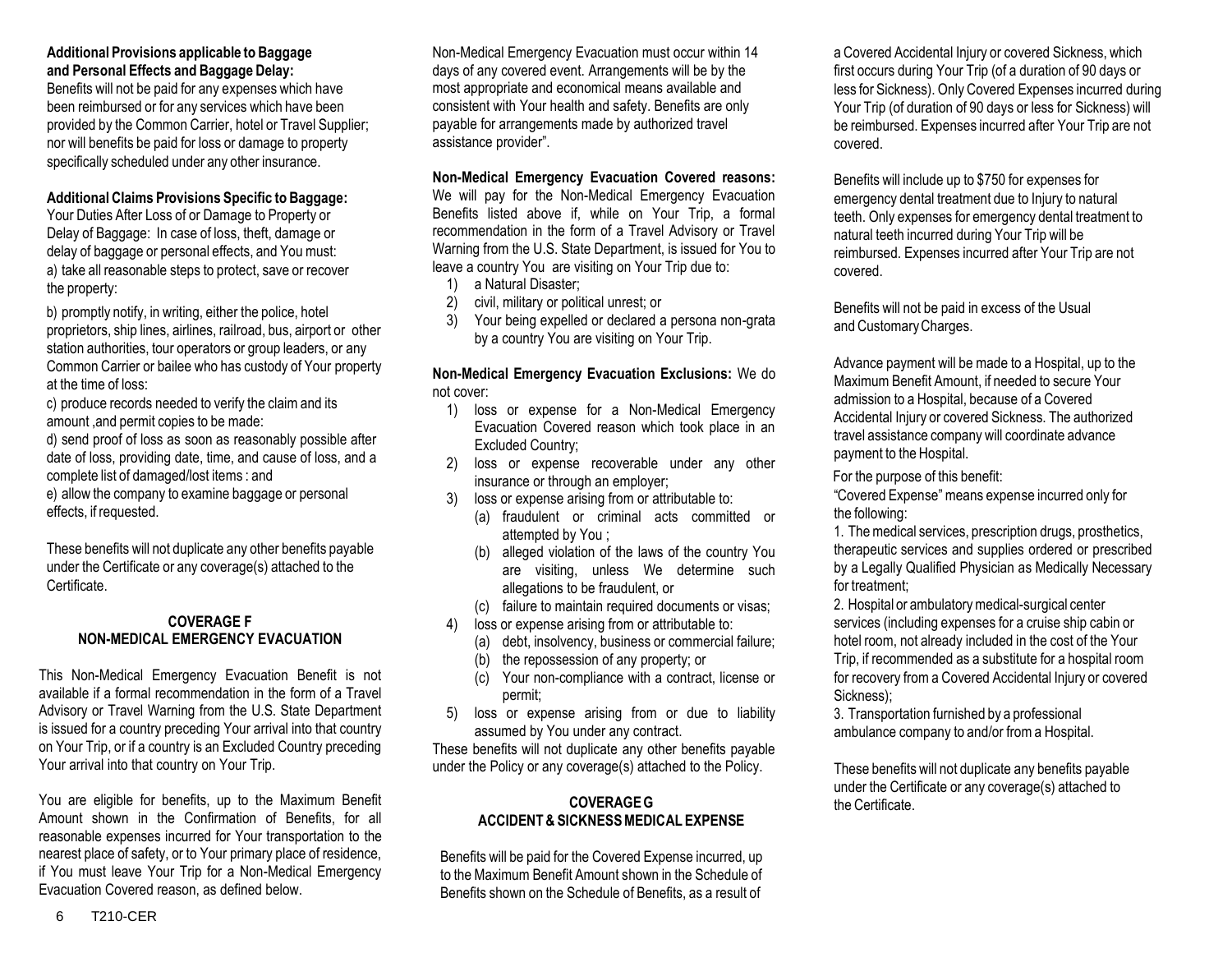## **Additional Provisions applicable to Baggage and Personal Effects and Baggage Delay:**

Benefits will not be paid for any expenses which have been reimbursed or for any services which have been provided by the Common Carrier, hotel or Travel Supplier; nor will benefits be paid for loss or damage to property specifically scheduled under any other insurance.

# **Additional Claims Provisions Specific to Baggage:**

Your Duties After Loss of or Damage to Property or Delay of Baggage: In case of loss, theft, damage or delay of baggage or personal effects, and You must: a) take all reasonable steps to protect, save or recover the property:

b) promptly notify, in writing, either the police, hotel proprietors, ship lines, airlines, railroad, bus, airport or other station authorities, tour operators or group leaders, or any Common Carrier or bailee who has custody of Your property at the time of loss:

c) produce records needed to verify the claim and its amount ,and permit copies to be made:

d) send proof of loss as soon as reasonably possible after date of loss, providing date, time, and cause of loss, and a complete list of damaged/lost items : and e) allow the company to examine baggage or personal effects, if requested.

These benefits will not duplicate any other benefits payable under the Certificate or any coverage(s) attached to the **Certificate** 

# **COVERAGE F NON-MEDICAL EMERGENCY EVACUATION**

This Non-Medical Emergency Evacuation Benefit is not available if a formal recommendation in the form of a Travel Advisory or Travel Warning from the U.S. State Department is issued for a country preceding Your arrival into that country on Your Trip, or if a country is an Excluded Country preceding Your arrival into that country on Your Trip.

You are eligible for benefits, up to the Maximum Benefit Amount shown in the Confirmation of Benefits, for all reasonable expenses incurred for Your transportation to the nearest place of safety, or to Your primary place of residence, if You must leave Your Trip for a Non-Medical Emergency Evacuation Covered reason, as defined below.

Non-Medical Emergency Evacuation must occur within 14 days of any covered event. Arrangements will be by the most appropriate and economical means available and consistent with Your health and safety. Benefits are only payable for arrangements made by authorized travel assistance provider".

#### **Non-Medical Emergency Evacuation Covered reasons:**

We will pay for the Non-Medical Emergency Evacuation Benefits listed above if, while on Your Trip, a formal recommendation in the form of a Travel Advisory or Travel Warning from the U.S. State Department, is issued for You to leave a country You are visiting on Your Trip due to:

- 1) a Natural Disaster;
- 2) civil, military or political unrest; or
- 3) Your being expelled or declared a persona non-grata by a country You are visiting on Your Trip.

#### **Non-Medical Emergency Evacuation Exclusions:** We do not cover:

- 1) loss or expense for a Non-Medical Emergency Evacuation Covered reason which took place in an Excluded Country;
- 2) loss or expense recoverable under any other insurance or through an employer;
- 3) loss or expense arising from or attributable to:
	- (a) fraudulent or criminal acts committed or attempted by You ;
	- (b) alleged violation of the laws of the country You are visiting, unless We determine such allegations to be fraudulent, or
	- (c) failure to maintain required documents or visas;
- 4) loss or expense arising from or attributable to:
	- (a) debt, insolvency, business or commercial failure;
	- (b) the repossession of any property; or
	- (c) Your non-compliance with a contract, license or permit;
- 5) loss or expense arising from or due to liability assumed by You under any contract.

These benefits will not duplicate any other benefits payable under the Policy or any coverage(s) attached to the Policy.

# **COVERAGEG ACCIDENT& SICKNESSMEDICAL EXPENSE**

Benefits will be paid for the Covered Expense incurred, up to the Maximum Benefit Amount shown in the Schedule of Benefits shown on the Schedule of Benefits, as a result of

a Covered Accidental Injury or covered Sickness, which first occurs during Your Trip (of a duration of 90 days or less for Sickness). Only Covered Expenses incurred during Your Trip (of duration of 90 days or less for Sickness) will be reimbursed. Expenses incurred after Your Trip are not covered.

Benefits will include up to \$750 for expenses for emergency dental treatment due to Injury to natural teeth. Only expenses for emergency dental treatment to natural teeth incurred during Your Trip will be reimbursed. Expenses incurred after Your Trip are not covered.

Benefits will not be paid in excess of the Usual and CustomaryCharges.

Advance payment will be made to a Hospital, up to the Maximum Benefit Amount, if needed to secure Your admission to a Hospital, because of a Covered Accidental Injury or covered Sickness. The authorized travel assistance company will coordinate advance payment to the Hospital.

For the purpose of this benefit:

"Covered Expense"means expense incurred only for the following:

1. The medical services, prescription drugs, prosthetics, therapeutic services and supplies ordered or prescribed by a Legally Qualified Physician as Medically Necessary for treatment;

2. Hospital or ambulatorymedical-surgical center services (including expenses for a cruise ship cabin or hotel room, not already included in the cost of the Your Trip, if recommended as a substitute for a hospital room for recovery from a Covered Accidental Injury or covered Sickness);

3. Transportation furnished by a professional ambulance company to and/or from a Hospital.

These benefits will not duplicate any benefits payable under the Certificate or any coverage(s) attached to the Certificate.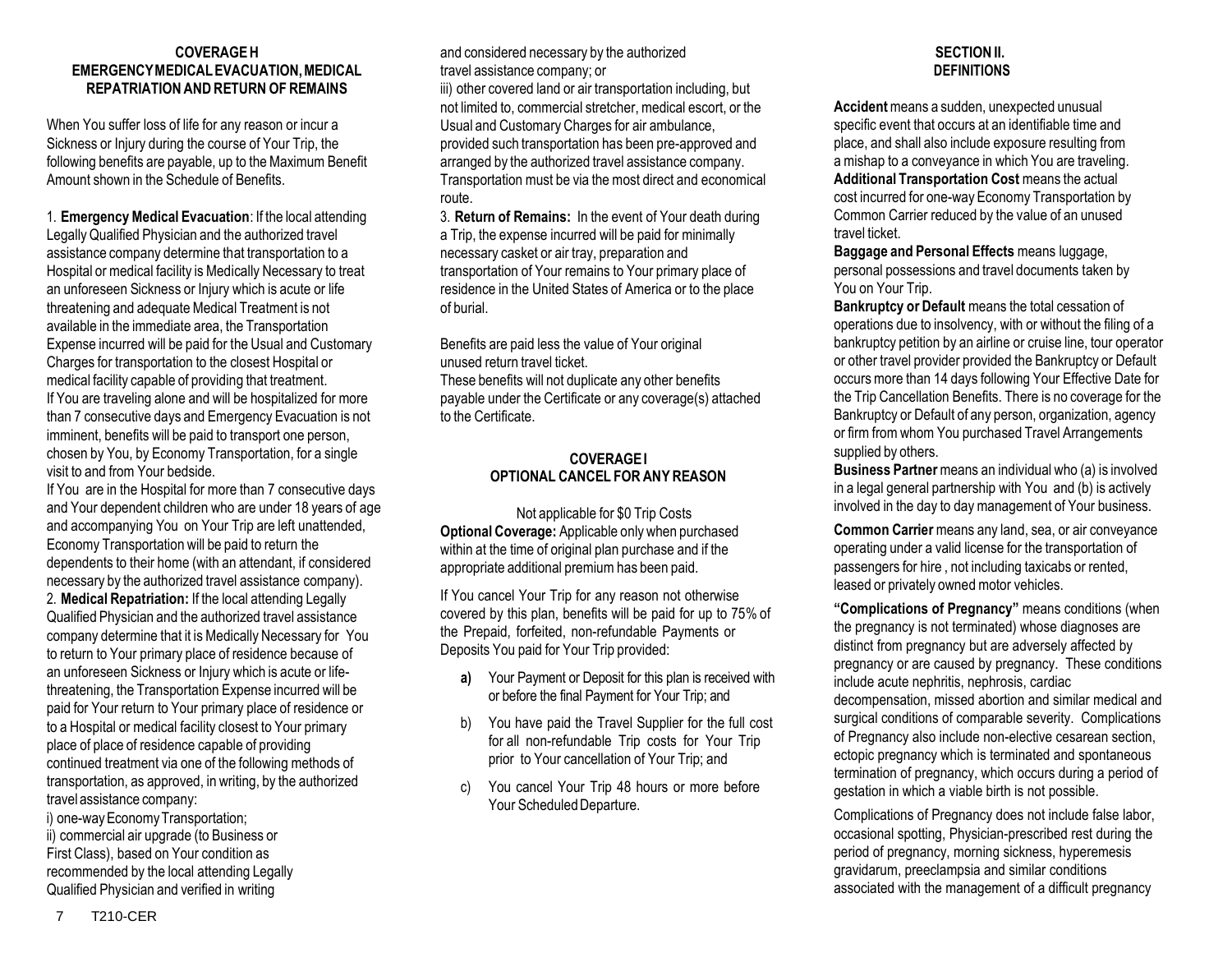#### **COVERAGEH EMERGENCYMEDICALEVACUATION,MEDICAL REPATRIATIONANDRETURN OF REMAINS**

When You suffer loss of life for any reason or incur a Sickness or Injury during the course of Your Trip, the following benefits are payable, up to the Maximum Benefit Amount shown in the Schedule of Benefits.

1. **EmergencyMedical Evacuation**: If the local attending LegallyQualified Physician and the authorized travel assistance company determine that transportation to a Hospital or medical facility is Medically Necessary to treat an unforeseen Sickness or Injury which is acute or life threatening and adequate Medical Treatment is not available in the immediate area, the Transportation Expense incurred will be paid for the Usual and Customary Charges for transportation to the closest Hospital or medical facility capable of providing that treatment. If You are traveling alone and will be hospitalized for more than 7 consecutive days and Emergency Evacuation is not imminent, benefits will be paid to transport one person, chosen by You, by Economy Transportation, for a single visit to and from Your bedside.

If You are in the Hospital for more than 7 consecutive days and Your dependent children who are under 18 years of age and accompanying You on Your Trip are left unattended, Economy Transportation will be paid to return the dependents to their home (with an attendant, if considered necessary by the authorized travel assistance company). 2. **Medical Repatriation:** If the local attending Legally Qualified Physician and the authorized travel assistance company determine that it is Medically Necessary for You to return to Your primary place of residence because of an unforeseen Sickness or Injury which is acute or lifethreatening, the Transportation Expense incurred will be paid for Your return to Your primary place of residence or to a Hospital or medical facility closest to Your primary place of place of residence capable of providing continued treatment via one of the following methods of transportation, as approved, in writing, by the authorized travel assistance company:

i) one-way Economy Transportation; ii) commercial air upgrade (to Business or First Class), based on Your condition as recommended by the local attending Legally Qualified Physician and verified in writing

and considered necessary by the authorized travel assistance company; or

iii) other covered land or air transportation including, but not limited to, commercial stretcher, medical escort, or the Usual and Customary Charges for air ambulance, provided such transportation has been pre-approved and arranged by the authorized travel assistance company. Transportation must be via the most direct and economical route.

3. **Return of Remains:** In the event of Your death during a Trip, the expense incurred will be paid for minimally necessary casket or air tray, preparation and transportation of Your remains to Your primary place of residence in the United States of America or to the place of burial.

Benefits are paid less the value of Your original unused return travel ticket.

These benefits will not duplicate any other benefits payable under the Certificate or any coverage(s) attached to the Certificate.

# **COVERAGEI OPTIONAL CANCEL FOR ANY REASON**

Not applicable for \$0 Trip Costs **Optional Coverage:** Applicable only when purchased within at the time of original plan purchase and if the appropriate additional premium has been paid.

If You cancel Your Trip for any reason not otherwise covered by this plan, benefits will be paid for up to 75% of the Prepaid, forfeited, non-refundable Payments or Deposits You paid for Your Trip provided:

- **a)** Your Payment or Deposit for this plan is received with or before the final Payment for Your Trip; and
- b) You have paid the Travel Supplier for the full cost for all non-refundable Trip costs for Your Trip prior to Your cancellation of Your Trip; and
- c) You cancel Your Trip 48 hours or more before Your Scheduled Departure.

# **SECTIONII. DEFINITIONS**

**Accident**means a sudden, unexpected unusual specific event that occurs at an identifiable time and place, and shall also include exposure resulting from a mishap to a conveyance in which You are traveling. **Additional Transportation Cost** means the actual cost incurred for one-way Economy Transportation by Common Carrier reduced by the value of an unused travel ticket.

**Baggage and Personal Effects** means luggage, personal possessions and travel documents taken by You on Your Trip.

**Bankruptcy or Default** means the total cessation of operations due to insolvency, with or without the filing of a bankruptcy petition by an airline or cruise line, tour operator or other travel provider provided the Bankruptcy or Default occurs more than 14 days following Your Effective Date for the Trip Cancellation Benefits. There is no coverage for the Bankruptcy or Default of any person, organization, agency or firm from whom You purchased Travel Arrangements supplied by others.

**Business Partner**means an individual who (a) is involved in a legal general partnership with You and (b) is actively involved in the day to daymanagement of Your business.

**Common Carrier** means any land, sea, or air conveyance operating under a valid license for the transportation of passengers for hire , not including taxicabs or rented, leased or privately owned motor vehicles.

**"Complications of Pregnancy"** means conditions (when the pregnancy is not terminated) whose diagnoses are distinct from pregnancy but are adversely affected by pregnancy or are caused by pregnancy. These conditions include acute nephritis, nephrosis, cardiac decompensation, missed abortion and similar medical and surgical conditions of comparable severity. Complications of Pregnancy also include non-elective cesarean section, ectopic pregnancy which is terminated and spontaneous termination of pregnancy, which occurs during a period of gestation in which a viable birth is not possible.

Complications of Pregnancy does not include false labor, occasional spotting, Physician-prescribed rest during the period of pregnancy, morning sickness, hyperemesis gravidarum, preeclampsia and similar conditions associated with the management of a difficult pregnancy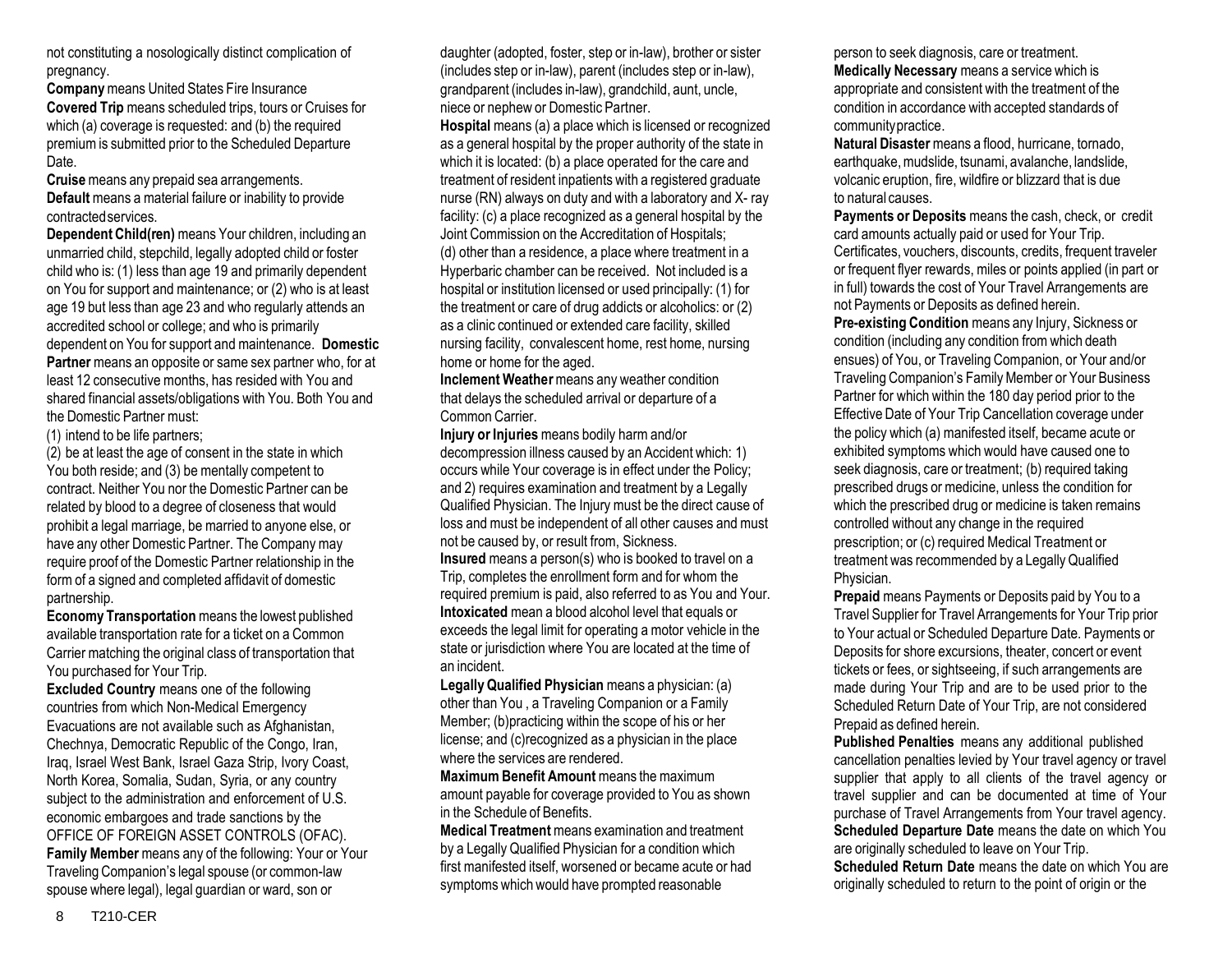not constituting a nosologically distinct complication of pregnancy.

**Company**means United States Fire Insurance **Covered Trip** means scheduled trips, tours or Cruises for which (a) coverage is requested: and (b) the required premium is submitted prior to the Scheduled Departure Date.

**Cruise** means any prepaid sea arrangements. **Default** means a material failure or inability to provide contractedservices.

**Dependent Child(ren)** means Your children, including an unmarried child, stepchild, legally adopted child or foster child who is: (1) less than age 19 and primarily dependent on You for support and maintenance; or (2) who is at least age 19 but less than age 23 and who regularly attends an accredited school or college; and who is primarily dependent on You for support andmaintenance. **Domestic Partner** means an opposite or same sex partner who, for at least 12 consecutive months, has resided with You and shared financial assets/obligations with You. Both You and the Domestic Partner must:

(1) intend to be life partners;

(2) be at least the age of consent in the state in which You both reside; and (3) be mentally competent to contract. Neither You nor the Domestic Partner can be related by blood to a degree of closeness that would prohibit a legal marriage, be married to anyone else, or have any other Domestic Partner. The Company may require proof of the Domestic Partner relationship in the form of a signed and completed affidavit of domestic partnership.

**Economy Transportation** means the lowest published available transportation rate for a ticket on a Common Carrier matching the original class of transportation that You purchased for Your Trip.

**Excluded Country** means one of the following countries from which Non-Medical Emergency Evacuations are not available such as Afghanistan, Chechnya, Democratic Republic of the Congo, Iran, Iraq, Israel West Bank, Israel Gaza Strip, Ivory Coast, North Korea, Somalia, Sudan, Syria, or any country subject to the administration and enforcement of U.S. economic embargoes and trade sanctions by the OFFICE OF FOREIGN ASSET CONTROLS (OFAC). **Family Member** means any of the following: Your or Your Traveling Companion's legal spouse (or common-law spouse where legal), legal guardian or ward, son or

daughter (adopted, foster, step or in-law), brother or sister (includes step or in-law), parent (includes step or in-law), grandparent (includes in-law), grandchild, aunt, uncle, niece or nephew or Domestic Partner.

**Hospital** means (a) a place which is licensed or recognized as a general hospital by the proper authority of the state in which it is located: (b) a place operated for the care and treatment of resident inpatients with a registered graduate nurse (RN) always on duty and with a laboratory and X- ray facility: (c) a place recognized as a general hospital by the Joint Commission on the Accreditation of Hospitals; (d) other than a residence, a place where treatment in a Hyperbaric chamber can be received. Not included is a hospital or institution licensed or used principally: (1) for the treatment or care of drug addicts or alcoholics: or (2) as a clinic continued or extended care facility, skilled nursing facility, convalescent home, rest home, nursing home or home for the aged.

**Inclement Weather** means any weather condition that delays the scheduled arrival or departure of a Common Carrier.

**Injury or Injuries** means bodily harm and/or decompression illness caused by an Accident which: 1) occurs while Your coverage is in effect under the Policy; and 2) requires examination and treatment by a Legally Qualified Physician. The Injury must be the direct cause of loss and must be independent of all other causes and must not be caused by, or result from, Sickness.

**Insured** means a person(s) who is booked to travel on a Trip, completes the enrollment form and for whom the required premium is paid, also referred to as You and Your. **Intoxicated** mean a blood alcohol level that equals or exceeds the legal limit for operating a motor vehicle in the state or jurisdiction where You are located at the time of an incident.

**LegallyQualified Physician** means a physician: (a) other than You , a Traveling Companion or a Family Member; (b)practicing within the scope of his or her license; and (c)recognized as a physician in the place where the services are rendered.

**Maximum Benefit Amount** means the maximum amount payable for coverage provided to You as shown in the Schedule of Benefits.

**Medical Treatment** means examination and treatment by a Legally Qualified Physician for a condition which first manifested itself, worsened or became acute or had symptoms which would have prompted reasonable

person to seek diagnosis, care or treatment. **Medically Necessary** means a service which is appropriate and consistent with the treatment of the condition in accordance with accepted standards of communitypractice.

**Natural Disaster**means a flood, hurricane, tornado, earthquake, mudslide, tsunami, avalanche, landslide, volcanic eruption, fire, wildfire or blizzard that is due to natural causes.

**Payments or Deposits** means the cash, check, or credit card amounts actually paid or used for Your Trip. Certificates, vouchers, discounts, credits, frequent traveler or frequent flyer rewards, miles or points applied (in part or in full) towards the cost of Your Travel Arrangements are not Payments or Deposits as defined herein.

**Pre-existing Condition** means any Injury, Sickness or condition (including any condition from which death ensues) of You, or Traveling Companion, or Your and/or Traveling Companion's FamilyMember or Your Business Partner for which within the 180 day period prior to the Effective Date of Your Trip Cancellation coverage under the policy which (a) manifested itself, became acute or exhibited symptoms which would have caused one to seek diagnosis, care or treatment; (b) required taking prescribed drugs or medicine, unless the condition for which the prescribed drug or medicine is taken remains controlled without any change in the required prescription; or (c) required Medical Treatment or treatment was recommended by a LegallyQualified Physician.

**Prepaid** means Payments or Deposits paid by You to a Travel Supplier for Travel Arrangements for Your Trip prior to Your actual or Scheduled Departure Date. Payments or Deposits for shore excursions, theater, concert or event tickets or fees, or sightseeing, if such arrangements are made during Your Trip and are to be used prior to the Scheduled Return Date of Your Trip, are not considered Prepaid as defined herein.

**Published Penalties** means any additional published cancellation penalties levied by Your travel agency or travel supplier that apply to all clients of the travel agency or travel supplier and can be documented at time of Your purchase of Travel Arrangements from Your travel agency. **Scheduled Departure Date** means the date on which You are originally scheduled to leave on Your Trip. **Scheduled Return Date** means the date on which You are

originally scheduled to return to the point of origin or the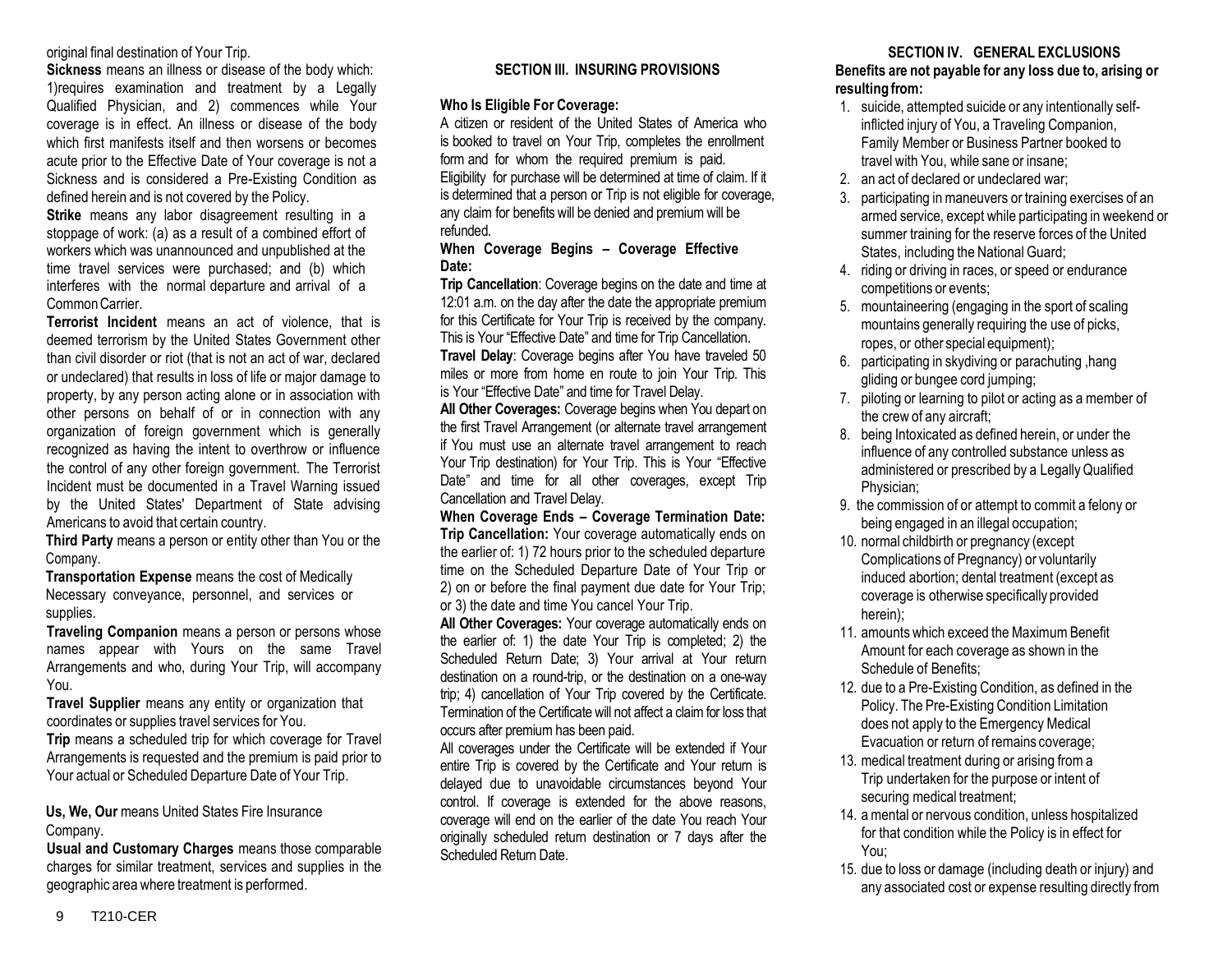#### original final destination of Your Trip.

**Sickness** means an illness or disease of the body which: 1)requires examination and treatment by a Legally Qualified Physician, and 2) commences while Your coverage is in effect. An illness or disease of the body which first manifests itself and then worsens or becomes acute prior to the Effective Date of Your coverage is not a Sickness and is considered a Pre-Existing Condition as defined herein and is not covered by the Policy.

**Strike** means any labor disagreement resulting in a stoppage of work: (a) as a result of a combined effort of workers which was unannounced and unpublished at the time travel services were purchased; and (b) which interferes with the normal departure and arrival of a CommonCarrier.

**Terrorist Incident** means an act of violence, that is deemed terrorism by the United States Government other than civil disorder or riot (that is not an act of war, declared or undeclared) that results in loss of life or major damage to property, by any person acting alone or in association with other persons on behalf of or in connection with any organization of foreign government which is generally recognized as having the intent to overthrow or influence the control of any other foreign government. The Terrorist Incident must be documented in a Travel Warning issued by the United States' Department of State advising Americans to avoid that certain country.

**Third Party** means a person or entity other than You or the Company.

**Transportation Expense** means the cost of Medically Necessary conveyance, personnel, and services or supplies.

**Traveling Companion** means a person or persons whose names appear with Yours on the same Travel Arrangements and who, during Your Trip, will accompany You.

**Travel Supplier** means any entity or organization that coordinates or supplies travel services for You.

**Trip** means a scheduled trip for which coverage for Travel Arrangements is requested and the premium is paid prior to Your actual or Scheduled Departure Date of Your Trip.

**Us, We, Our** means United States Fire Insurance Company.

**Usual and Customary Charges** means those comparable charges for similar treatment, services and supplies in the geographic area where treatment is performed.

# **SECTION III. INSURING PROVISIONS**

#### **Who Is Eligible For Coverage:**

A citizen or resident of the United States of America who is booked to travel on Your Trip, completes the enrollment form and for whom the required premium is paid. Eligibility for purchase will be determined at time of claim. If it is determined that a person or Trip is not eligible for coverage, any claim for benefits will be denied and premium will be refunded.

#### **When Coverage Begins – Coverage Effective Date:**

**Trip Cancellation**: Coverage begins on the date and time at 12:01 a.m. on the day after the date the appropriate premium for this Certificate for Your Trip is received by the company. This is Your "Effective Date" and time for Trip Cancellation. **Travel Delay**: Coverage begins after You have traveled 50 miles or more from home en route to join Your Trip. This is Your "Effective Date" and time for Travel Delay.

**All Other Coverages:** Coverage begins when You depart on the first Travel Arrangement (or alternate travel arrangement if You must use an alternate travel arrangement to reach Your Trip destination) for Your Trip. This is Your "Effective Date" and time for all other coverages, except Trip Cancellation and Travel Delay.

**When Coverage Ends – Coverage Termination Date: Trip Cancellation:** Your coverage automatically ends on the earlier of: 1) 72 hours prior to the scheduled departure time on the Scheduled Departure Date of Your Trip or 2) on or before the final payment due date for Your Trip; or 3) the date and time You cancel Your Trip.

**All Other Coverages:** Your coverage automatically ends on the earlier of: 1) the date Your Trip is completed; 2) the Scheduled Return Date; 3) Your arrival at Your return destination on a round-trip, or the destination on a one-way trip; 4) cancellation of Your Trip covered by the Certificate. Termination of the Certificate will not affect a claim for loss that occurs after premium has been paid.

All coverages under the Certificate will be extended if Your entire Trip is covered by the Certificate and Your return is delayed due to unavoidable circumstances beyond Your control. If coverage is extended for the above reasons, coverage will end on the earlier of the date You reach Your originally scheduled return destination or 7 days after the Scheduled Return Date.

### **SECTION IV. GENERAL EXCLUSIONS**

**Benefits are not payable for any loss due to, arising or resulting from:**

- 1. suicide, attempted suicide or any intentionally selfinflicted injury of You, a Traveling Companion, Family Member or Business Partner booked to travel with You, while sane or insane;
- 2. an act of declared or undeclared war;
- 3. participating in maneuvers or training exercises of an armed service, except while participating in weekend or summer training for the reserve forces of the United States, including the National Guard;
- 4. riding or driving in races, or speed or endurance competitions or events;
- 5. mountaineering (engaging in the sport of scaling mountains generally requiring the use of picks, ropes, or other special equipment);
- 6. participating in skydiving or parachuting ,hang gliding or bungee cord jumping;
- 7. piloting or learning to pilot or acting as a member of the crew of any aircraft;
- 8. being Intoxicated as defined herein, or under the influence of any controlled substance unless as administered or prescribed by a LegallyQualified Physician;
- 9. the commission of or attempt to commit a felony or being engaged in an illegal occupation;
- 10. normal childbirth or pregnancy (except Complications of Pregnancy) or voluntarily induced abortion; dental treatment (except as coverage is otherwise specifically provided herein);
- 11. amounts which exceed the Maximum Benefit Amount for each coverage as shown in the Schedule of Benefits;
- 12. due to a Pre-Existing Condition, as defined in the Policy. The Pre-Existing Condition Limitation does not apply to the Emergency Medical Evacuation or return of remains coverage;
- 13. medical treatment during or arising from a Trip undertaken for the purpose or intent of securing medical treatment;
- 14. amental or nervous condition, unless hospitalized for that condition while the Policy is in effect for You;
- 15. due to loss or damage (including death or injury) and any associated cost or expense resulting directly from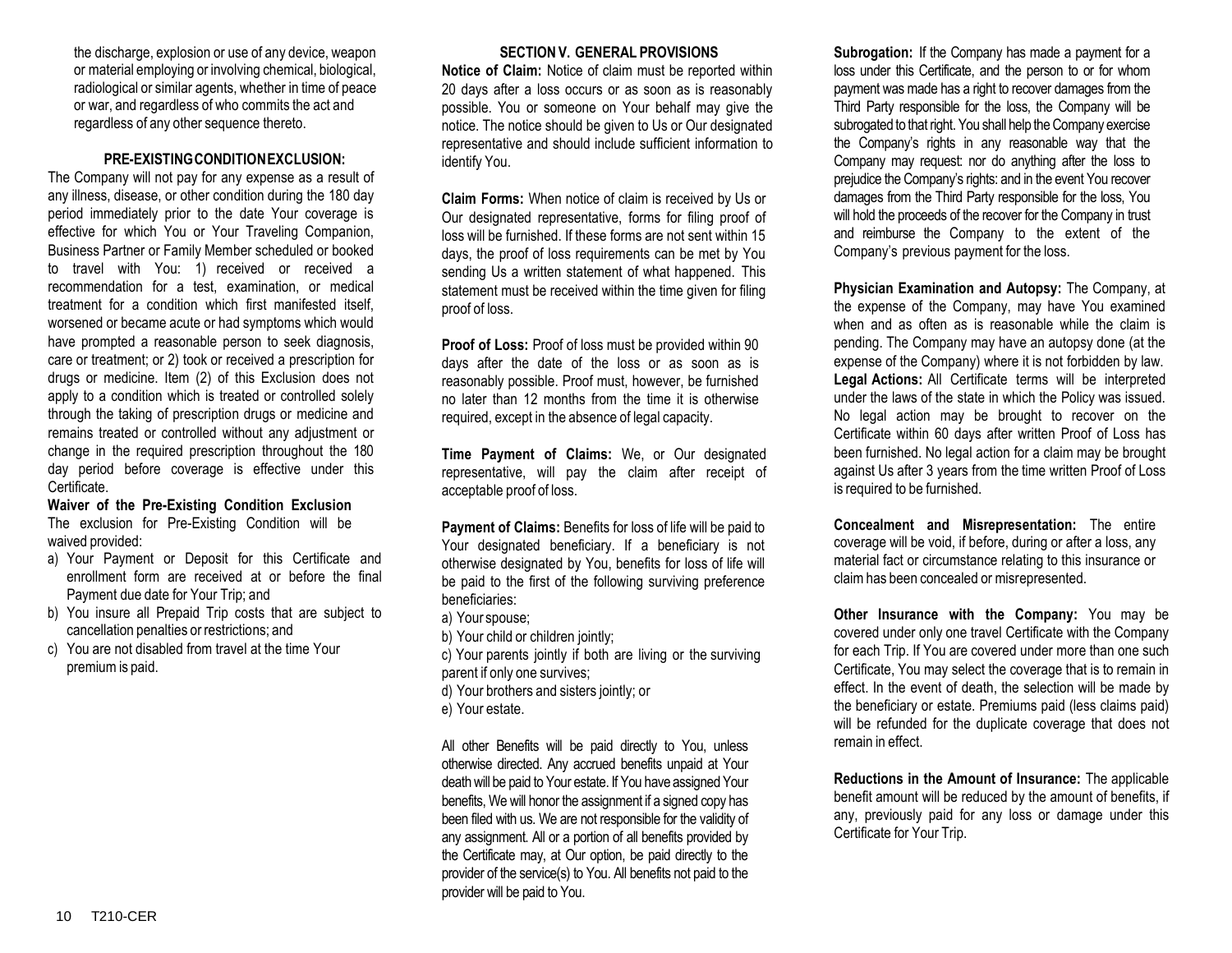the discharge, explosion or use of any device, weapon or material employing or involving chemical, biological, radiological or similar agents, whether in time of peace or war, and regardless of who commits the act and regardless of any other sequence thereto.

#### **PRE-EXISTINGCONDITIONEXCLUSION:**

The Company will not pay for any expense as a result of any illness, disease, or other condition during the 180 day period immediately prior to the date Your coverage is effective for which You or Your Traveling Companion, Business Partner or Family Member scheduled or booked to travel with You: 1) received or received a recommendation for a test, examination, or medical treatment for a condition which first manifested itself, worsened or became acute or had symptoms which would have prompted a reasonable person to seek diagnosis, care or treatment; or 2) took or received a prescription for drugs or medicine. Item (2) of this Exclusion does not apply to a condition which is treated or controlled solely through the taking of prescription drugs or medicine and remains treated or controlled without any adjustment or change in the required prescription throughout the 180 day period before coverage is effective under this Certificate.

**Waiver of the Pre-Existing Condition Exclusion** The exclusion for Pre-Existing Condition will be waived provided:

- a) Your Payment or Deposit for this Certificate and enrollment form are received at or before the final Payment due date for Your Trip; and
- b) You insure all Prepaid Trip costs that are subject to cancellation penalties or restrictions; and
- c) You are not disabled from travel at the time Your premium is paid.

#### **SECTIONV. GENERAL PROVISIONS**

**Notice of Claim:** Notice of claim must be reported within 20 days after a loss occurs or as soon as is reasonably possible. You or someone on Your behalf may give the notice. The notice should be given to Us or Our designated representative and should include sufficient information to identify You.

**Claim Forms:** When notice of claim is received by Us or Our designated representative, forms for filing proof of loss will be furnished. If these forms are not sent within 15 days, the proof of loss requirements can be met by You sending Us a written statement of what happened. This statement must be received within the time given for filing proof of loss.

**Proof of Loss:** Proof of loss must be provided within 90 days after the date of the loss or as soon as is reasonably possible. Proof must, however, be furnished no later than 12 months from the time it is otherwise required, except in the absence of legal capacity.

**Time Payment of Claims:** We, or Our designated representative, will pay the claim after receipt of acceptable proof of loss.

**Payment of Claims:** Benefits for loss of life will be paid to Your designated beneficiary. If a beneficiary is not otherwise designated by You, benefits for loss of life will be paid to the first of the following surviving preference beneficiaries:

a) Your spouse;

- b) Your child or children jointly;
- c) Your parents jointly if both are living or the surviving parent if only one survives;
- d) Your brothers and sisters jointly; or
- e) Your estate.

All other Benefits will be paid directly to You, unless otherwise directed. Any accrued benefits unpaid at Your death will be paid to Your estate. If You have assigned Your benefits, We will honor the assignment if a signed copy has been filed with us. We are not responsible for the validity of any assignment. All or a portion of all benefits provided by the Certificate may, at Our option, be paid directly to the provider of the service(s) to You. All benefits not paid to the provider will be paid to You.

**Subrogation:** If the Company has made a payment for a loss under this Certificate, and the person to or for whom payment was made has a right to recover damages from the Third Party responsible for the loss, the Company will be subrogated to that right. You shall help the Company exercise the Company's rights in any reasonable way that the Company may request: nor do anything after the loss to prejudice the Company's rights: and in the event You recover damages from the Third Party responsible for the loss, You will hold the proceeds of the recover for the Company in trust and reimburse the Company to the extent of the Company's previous payment for the loss.

**Physician Examination and Autopsy:** The Company, at the expense of the Company, may have You examined when and as often as is reasonable while the claim is pending. The Company may have an autopsy done (at the expense of the Company) where it is not forbidden by law. **Legal Actions:** All Certificate terms will be interpreted under the laws of the state in which the Policy was issued. No legal action may be brought to recover on the Certificate within 60 days after written Proof of Loss has been furnished. No legal action for a claim may be brought against Us after 3 years from the time written Proof of Loss is required to be furnished.

**Concealment and Misrepresentation:** The entire coverage will be void, if before, during or after a loss, any material fact or circumstance relating to this insurance or claim has been concealed or misrepresented.

**Other Insurance with the Company:** You may be covered under only one travel Certificate with the Company for each Trip. If You are covered under more than one such Certificate, You may select the coverage that is to remain in effect. In the event of death, the selection will be made by the beneficiary or estate. Premiums paid (less claims paid) will be refunded for the duplicate coverage that does not remain in effect.

**Reductions in the Amount of Insurance:** The applicable benefit amount will be reduced by the amount of benefits, if any, previously paid for any loss or damage under this Certificate for Your Trip.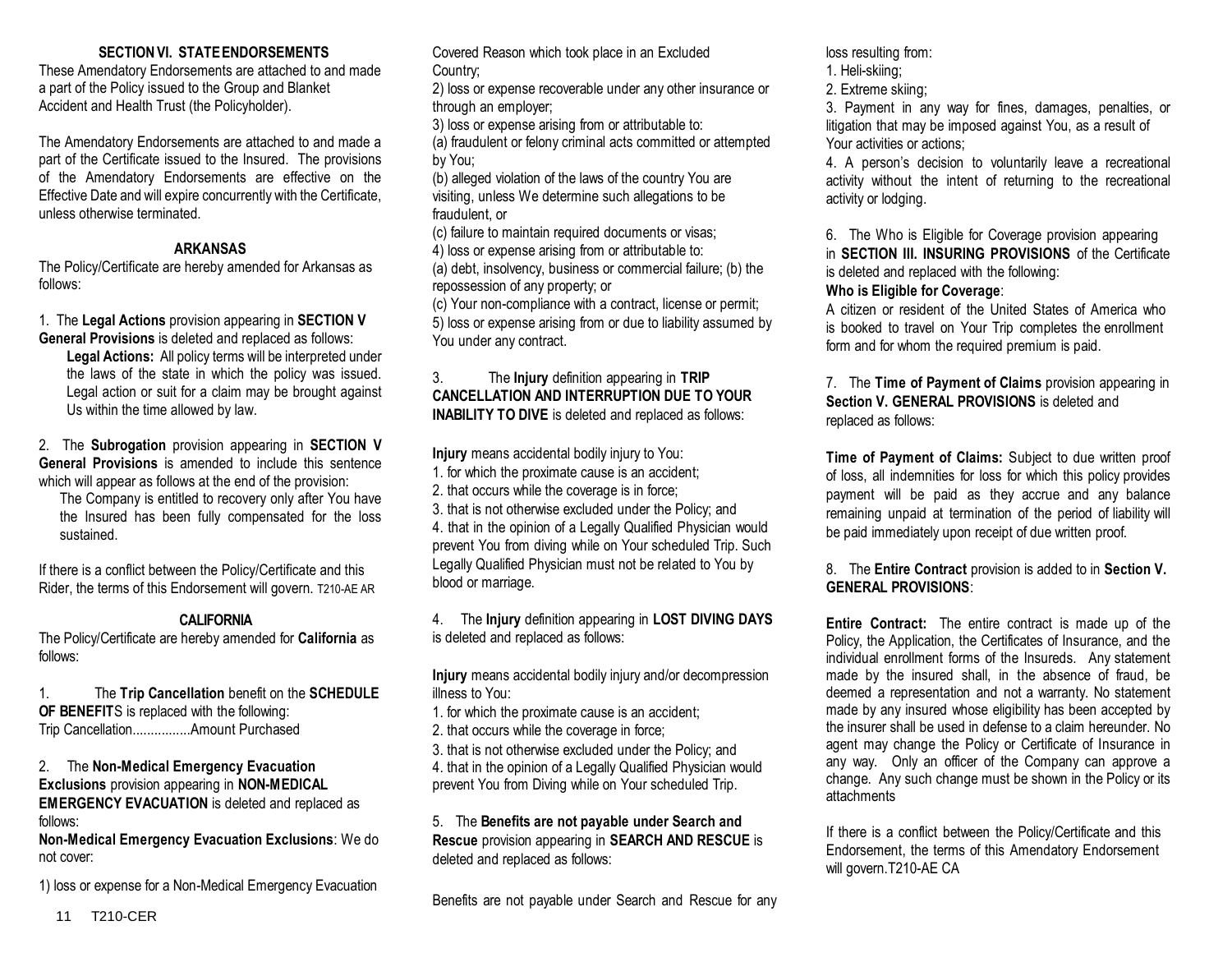# **SECTIONVI. STATEENDORSEMENTS**

These Amendatory Endorsements are attached to and made a part of the Policy issued to the Group and Blanket Accident and Health Trust (the Policyholder).

The Amendatory Endorsements are attached to and made a part of the Certificate issued to the Insured. The provisions of the Amendatory Endorsements are effective on the Effective Date and will expire concurrently with the Certificate, unless otherwise terminated.

# **ARKANSAS**

The Policy/Certificate are hereby amended for Arkansas as follows:

1. The **Legal Actions** provision appearing in **SECTION V General Provisions** is deleted and replaced as follows:

**Legal Actions:** All policy terms will be interpreted under the laws of the state in which the policy was issued. Legal action or suit for a claim may be brought against Us within the time allowed by law.

2. The **Subrogation** provision appearing in **SECTION V General Provisions** is amended to include this sentence which will appear as follows at the end of the provision:

The Company is entitled to recovery only after You have the Insured has been fully compensated for the loss sustained.

If there is a conflict between the Policy/Certificate and this Rider, the terms of this Endorsement will govern. T210-AE AR

# **CALIFORNIA**

The Policy/Certificate are hereby amended for **California** as follows:

1. The **Trip Cancellation** benefit on the **SCHEDULE OF BENEFIT**S is replaced with the following: Trip Cancellation................Amount Purchased

## 2. The **Non-Medical Emergency Evacuation Exclusions** provision appearing in **NON-MEDICAL EMERGENCY EVACUATION** is deleted and replaced as follows:

**Non-Medical Emergency Evacuation Exclusions**: We do not cover:

1) loss or expense for a Non-Medical Emergency Evacuation

Covered Reason which took place in an Excluded Country;

2) loss or expense recoverable under any other insurance or through an employer;

3) loss or expense arising from or attributable to:

(a) fraudulent or felony criminal acts committed or attempted by You;

(b) alleged violation of the laws of the country You are visiting, unless We determine such allegations to be fraudulent, or

(c) failure to maintain required documents or visas; 4) loss or expense arising from or attributable to:

(a) debt, insolvency, business or commercial failure; (b) the repossession of any property; or

(c) Your non-compliance with a contract, license or permit; 5) loss or expense arising from or due to liability assumed by You under any contract.

# 3. The **Injury** definition appearing in **TRIP CANCELLATION AND INTERRUPTION DUE TO YOUR INABILITY TO DIVE** is deleted and replaced as follows:

**Injury** means accidental bodily injury to You:

1. for which the proximate cause is an accident;

2. that occurs while the coverage is in force;

3. that is not otherwise excluded under the Policy; and

4. that in the opinion of a Legally Qualified Physician would prevent You from diving while on Your scheduled Trip. Such Legally Qualified Physician must not be related to You by blood or marriage.

4. The **Injury** definition appearing in **LOST DIVING DAYS** is deleted and replaced as follows:

**Injury** means accidental bodily injury and/or decompression illness to You:

1. for which the proximate cause is an accident;

2. that occurs while the coverage in force;

3. that is not otherwise excluded under the Policy; and 4. that in the opinion of a Legally Qualified Physician would prevent You from Diving while on Your scheduled Trip.

# 5. The **Benefits are not payable under Search and Rescue** provision appearing in **SEARCH AND RESCUE** is deleted and replaced as follows:

Benefits are not payable under Search and Rescue for any

loss resulting from:

- 1. Heli-skiing;
- 2. Extreme skiing;

3. Payment in any way for fines, damages, penalties, or litigation that may be imposed against You, as a result of Your activities or actions;

4. A person's decision to voluntarily leave a recreational activity without the intent of returning to the recreational activity or lodging.

6. The Who is Eligible for Coverage provision appearing in **SECTION III. INSURING PROVISIONS** of the Certificate is deleted and replaced with the following:

# **Who is Eligible for Coverage**:

A citizen or resident of the United States of America who is booked to travel on Your Trip completes the enrollment form and for whom the required premium is paid.

7. The **Time of Payment of Claims** provision appearing in **Section V. GENERAL PROVISIONS** is deleted and replaced as follows:

**Time of Payment of Claims:** Subject to due written proof of loss, all indemnities for loss for which this policy provides payment will be paid as they accrue and any balance remaining unpaid at termination of the period of liability will be paid immediately upon receipt of due written proof.

# 8. The **Entire Contract** provision is added to in **Section V. GENERAL PROVISIONS**:

**Entire Contract:** The entire contract is made up of the Policy, the Application, the Certificates of Insurance, and the individual enrollment forms of the Insureds. Any statement made by the insured shall, in the absence of fraud, be deemed a representation and not a warranty. No statement made by any insured whose eligibility has been accepted by the insurer shall be used in defense to a claim hereunder. No agent may change the Policy or Certificate of Insurance in any way. Only an officer of the Company can approve a change. Any such change must be shown in the Policy or its attachments

If there is a conflict between the Policy/Certificate and this Endorsement, the terms of this Amendatory Endorsement will govern.T210-AE CA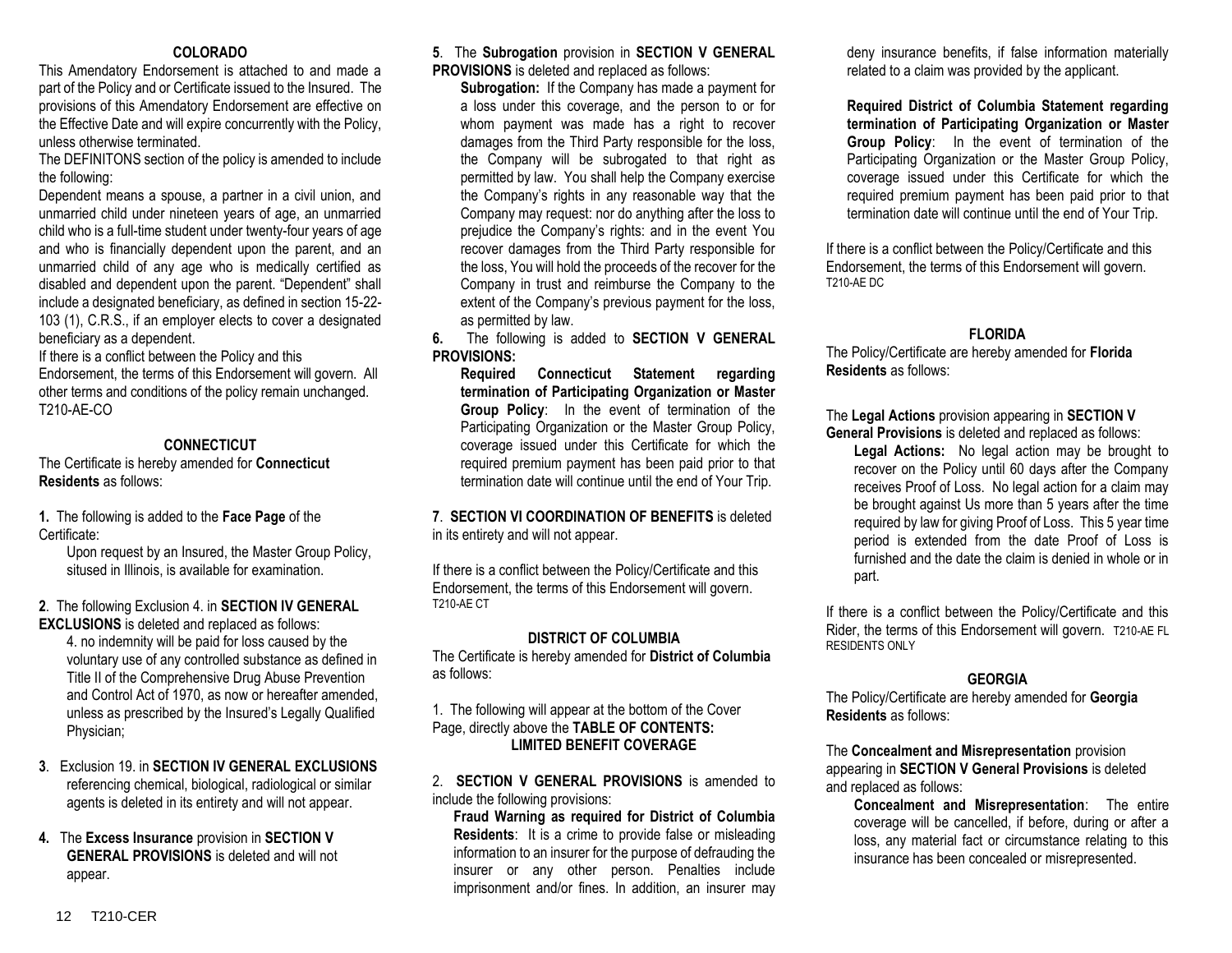#### **COLORADO**

This Amendatory Endorsement is attached to and made a part of the Policy and or Certificate issued to the Insured. The provisions of this Amendatory Endorsement are effective on the Effective Date and will expire concurrently with the Policy, unless otherwise terminated.

The DEFINITONS section of the policy is amended to include the following:

Dependent means a spouse, a partner in a civil union, and unmarried child under nineteen years of age, an unmarried child who is a full-time student under twenty-four years of age and who is financially dependent upon the parent, and an unmarried child of any age who is medically certified as disabled and dependent upon the parent. "Dependent" shall include a designated beneficiary, as defined in section 15-22- 103 (1), C.R.S., if an employer elects to cover a designated beneficiary as a dependent.

If there is a conflict between the Policy and this Endorsement, the terms of this Endorsement will govern. All other terms and conditions of the policy remain unchanged. T210-AE-CO

# **CONNECTICUT**

The Certificate is hereby amended for **Connecticut Residents** as follows:

**1.** The following is added to the **Face Page** of the Certificate:

Upon request by an Insured, the Master Group Policy, sitused in Illinois, is available for examination.

#### **2**. The following Exclusion 4. in **SECTION IV GENERAL EXCLUSIONS** is deleted and replaced as follows:

4. no indemnity will be paid for loss caused by the voluntary use of any controlled substance as defined in Title II of the Comprehensive Drug Abuse Prevention and Control Act of 1970, as now or hereafter amended, unless as prescribed by the Insured's Legally Qualified Physician;

- **3**. Exclusion 19. in **SECTION IV GENERAL EXCLUSIONS** referencing chemical, biological, radiological or similar agents is deleted in its entirety and will not appear.
- **4.** The **Excess Insurance** provision in **SECTION V GENERAL PROVISIONS** is deleted and will not appear.

#### **5**. The **Subrogation** provision in **SECTION V GENERAL PROVISIONS** is deleted and replaced as follows:

**Subrogation:** If the Company has made a payment for a loss under this coverage, and the person to or for whom payment was made has a right to recover damages from the Third Party responsible for the loss, the Company will be subrogated to that right as permitted by law. You shall help the Company exercise the Company's rights in any reasonable way that the Company may request: nor do anything after the loss to prejudice the Company's rights: and in the event You recover damages from the Third Party responsible for the loss, You will hold the proceeds of the recover for the Company in trust and reimburse the Company to the extent of the Company's previous payment for the loss, as permitted by law.

**6.** The following is added to **SECTION V GENERAL PROVISIONS:** 

**Required Connecticut Statement regarding termination of Participating Organization or Master Group Policy**: In the event of termination of the Participating Organization or the Master Group Policy, coverage issued under this Certificate for which the required premium payment has been paid prior to that termination date will continue until the end of Your Trip.

# **7**. **SECTION VI COORDINATION OF BENEFITS** is deleted in its entirety and will not appear.

If there is a conflict between the Policy/Certificate and this Endorsement, the terms of this Endorsement will govern. T210-AE CT

# **DISTRICT OF COLUMBIA**

The Certificate is hereby amended for **District of Columbia** as follows:

1. The following will appear at the bottom of the Cover Page, directly above the **TABLE OF CONTENTS: LIMITED BENEFIT COVERAGE**

2. **SECTION V GENERAL PROVISIONS** is amended to include the following provisions:

**Fraud Warning as required for District of Columbia Residents**: It is a crime to provide false or misleading information to an insurer for the purpose of defrauding the insurer or any other person. Penalties include imprisonment and/or fines. In addition, an insurer may

deny insurance benefits, if false information materially related to a claim was provided by the applicant.

**Required District of Columbia Statement regarding termination of Participating Organization or Master Group Policy**: In the event of termination of the Participating Organization or the Master Group Policy, coverage issued under this Certificate for which the required premium payment has been paid prior to that termination date will continue until the end of Your Trip.

If there is a conflict between the Policy/Certificate and this Endorsement, the terms of this Endorsement will govern. T210-AE DC

# **FLORIDA**

The Policy/Certificate are hereby amended for **Florida Residents** as follows:

The **Legal Actions** provision appearing in **SECTION V General Provisions** is deleted and replaced as follows:

**Legal Actions:** No legal action may be brought to recover on the Policy until 60 days after the Company receives Proof of Loss. No legal action for a claim may be brought against Us more than 5 years after the time required by law for giving Proof of Loss. This 5 year time period is extended from the date Proof of Loss is furnished and the date the claim is denied in whole or in part.

If there is a conflict between the Policy/Certificate and this Rider, the terms of this Endorsement will govern. T210-AE FL RESIDENTS ONLY

# **GEORGIA**

The Policy/Certificate are hereby amended for **Georgia Residents** as follows:

#### The **Concealment and Misrepresentation** provision appearing in **SECTION V General Provisions** is deleted and replaced as follows:

**Concealment and Misrepresentation**: The entire coverage will be cancelled, if before, during or after a loss, any material fact or circumstance relating to this insurance has been concealed or misrepresented.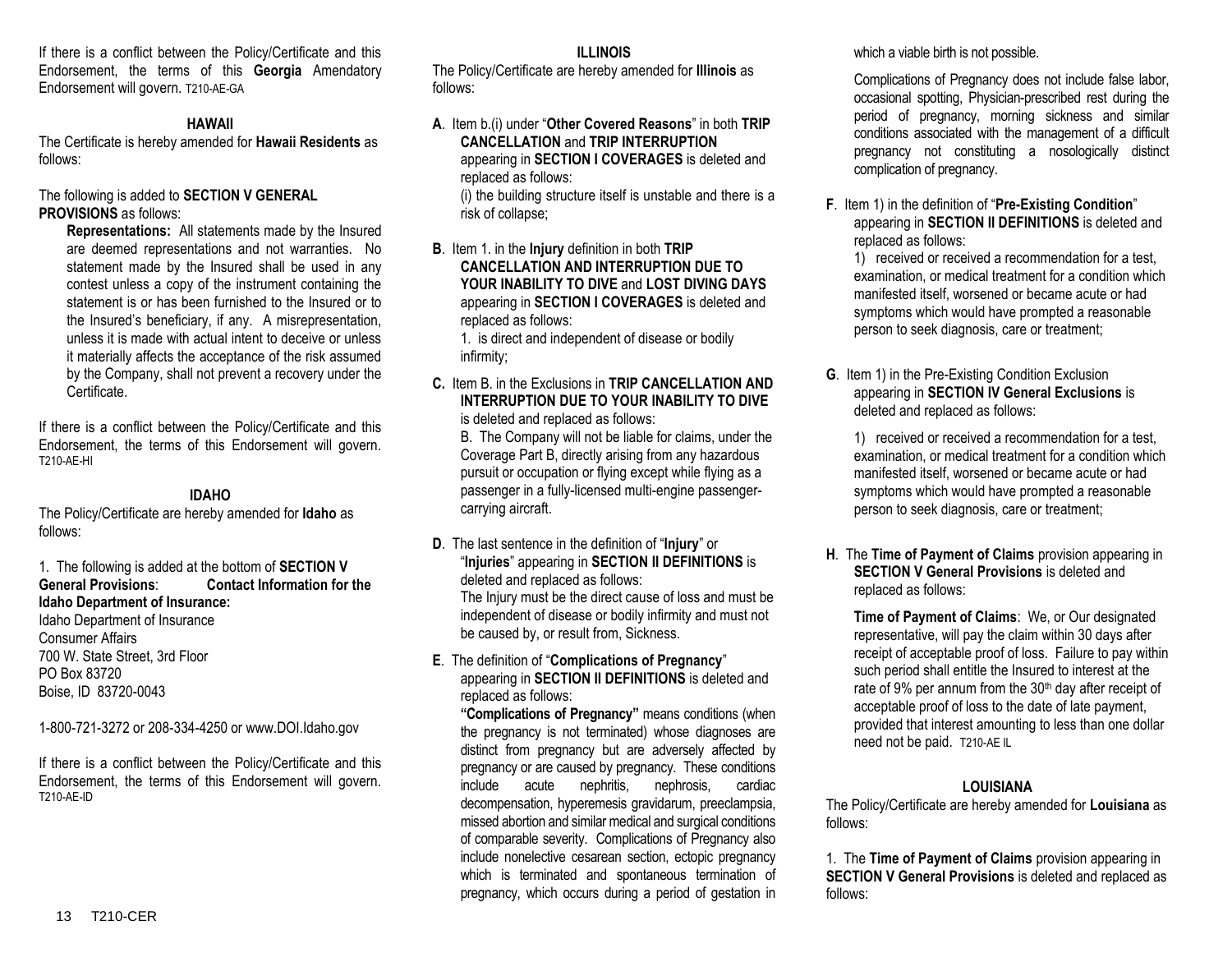If there is a conflict between the Policy/Certificate and this Endorsement, the terms of this **Georgia** Amendatory Endorsement will govern. T210-AE-GA

#### **HAWAII**

The Certificate is hereby amended for **Hawaii Residents** as follows:

The following is added to **SECTION V GENERAL PROVISIONS** as follows:

**Representations:** All statements made by the Insured are deemed representations and not warranties. No statement made by the Insured shall be used in any contest unless a copy of the instrument containing the statement is or has been furnished to the Insured or to the Insured's beneficiary, if any. A misrepresentation, unless it is made with actual intent to deceive or unless it materially affects the acceptance of the risk assumed by the Company, shall not prevent a recovery under the Certificate.

If there is a conflict between the Policy/Certificate and this Endorsement, the terms of this Endorsement will govern. T210-AE-HI

# **IDAHO**

The Policy/Certificate are hereby amended for **Idaho** as follows:

1. The following is added at the bottom of **SECTION V General Provisions**: **Contact Information for the Idaho Department of Insurance:**

Idaho Department of Insurance Consumer Affairs 700 W. State Street, 3rd Floor PO Box 83720 Boise, ID 83720-0043

1-800-721-3272 or 208-334-4250 or www.DOI.Idaho.gov

If there is a conflict between the Policy/Certificate and this Endorsement, the terms of this Endorsement will govern. T210-AE-ID

#### **ILLINOIS**

The Policy/Certificate are hereby amended for **Illinois** as follows:

- **A**. Item b.(i) under "**Other Covered Reasons**" in both **TRIP CANCELLATION** and **TRIP INTERRUPTION** appearing in **SECTION I COVERAGES** is deleted and replaced as follows: (i) the building structure itself is unstable and there is a risk of collapse;
- **B**. Item 1. in the **Injury** definition in both **TRIP CANCELLATION AND INTERRUPTION DUE TO YOUR INABILITY TO DIVE** and **LOST DIVING DAYS** appearing in **SECTION I COVERAGES** is deleted and replaced as follows:

1. is direct and independent of disease or bodily infirmity;

**C.** Item B. in the Exclusions in **TRIP CANCELLATION AND INTERRUPTION DUE TO YOUR INABILITY TO DIVE**  is deleted and replaced as follows:

B. The Company will not be liable for claims, under the Coverage Part B, directly arising from any hazardous pursuit or occupation or flying except while flying as a passenger in a fully-licensed multi-engine passengercarrying aircraft.

**D**. The last sentence in the definition of "**Injury**" or "**Injuries**" appearing in **SECTION II DEFINITIONS** is deleted and replaced as follows:

The Injury must be the direct cause of loss and must be independent of disease or bodily infirmity and must not be caused by, or result from, Sickness.

# **E**. The definition of "**Complications of Pregnancy**" appearing in **SECTION II DEFINITIONS** is deleted and replaced as follows:

**"Complications of Pregnancy"** means conditions (when the pregnancy is not terminated) whose diagnoses are distinct from pregnancy but are adversely affected by pregnancy or are caused by pregnancy. These conditions include acute nephritis, nephrosis, cardiac decompensation, hyperemesis gravidarum, preeclampsia, missed abortion and similar medical and surgical conditions of comparable severity. Complications of Pregnancy also include nonelective cesarean section, ectopic pregnancy which is terminated and spontaneous termination of pregnancy, which occurs during a period of gestation in which a viable birth is not possible.

Complications of Pregnancy does not include false labor, occasional spotting, Physician-prescribed rest during the period of pregnancy, morning sickness and similar conditions associated with the management of a difficult pregnancy not constituting a nosologically distinct complication of pregnancy.

**F**. Item 1) in the definition of "**Pre-Existing Condition**" appearing in **SECTION II DEFINITIONS** is deleted and replaced as follows:

1) received or received a recommendation for a test, examination, or medical treatment for a condition which manifested itself, worsened or became acute or had symptoms which would have prompted a reasonable person to seek diagnosis, care or treatment;

**G**. Item 1) in the Pre-Existing Condition Exclusion appearing in **SECTION IV General Exclusions** is deleted and replaced as follows:

1) received or received a recommendation for a test, examination, or medical treatment for a condition which manifested itself, worsened or became acute or had symptoms which would have prompted a reasonable person to seek diagnosis, care or treatment;

**H**. The **Time of Payment of Claims** provision appearing in **SECTION V General Provisions** is deleted and replaced as follows:

**Time of Payment of Claims**: We, or Our designated representative, will pay the claim within 30 days after receipt of acceptable proof of loss. Failure to pay within such period shall entitle the Insured to interest at the rate of 9% per annum from the 30<sup>th</sup> day after receipt of acceptable proof of loss to the date of late payment, provided that interest amounting to less than one dollar need not be paid. T210-AE IL

# **LOUISIANA**

The Policy/Certificate are hereby amended for **Louisiana** as follows:

1. The **Time of Payment of Claims** provision appearing in **SECTION V General Provisions** is deleted and replaced as follows: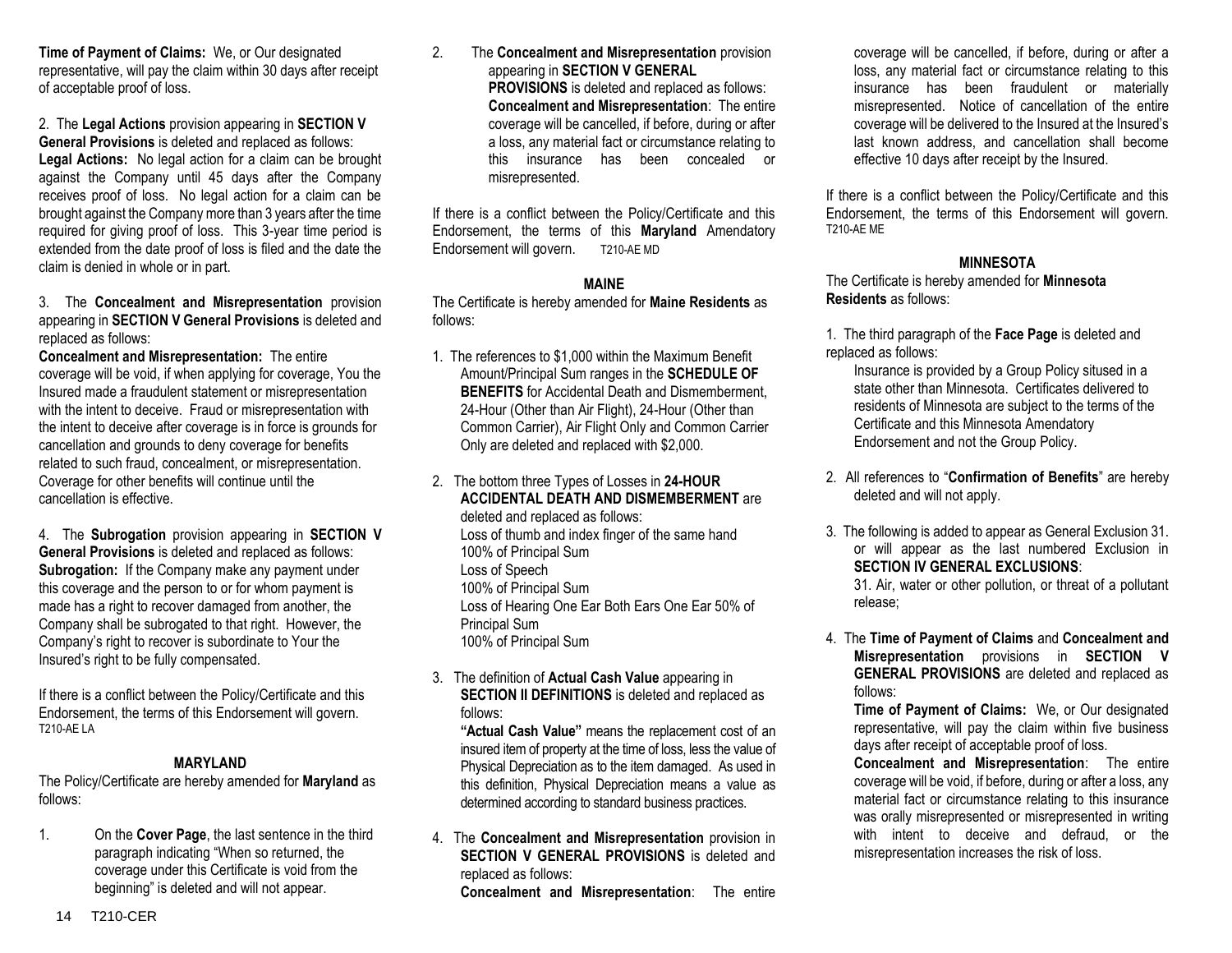**Time of Payment of Claims:** We, or Our designated representative, will pay the claim within 30 days after receipt of acceptable proof of loss.

2. The **Legal Actions** provision appearing in **SECTION V General Provisions** is deleted and replaced as follows: **Legal Actions:** No legal action for a claim can be brought against the Company until 45 days after the Company receives proof of loss. No legal action for a claim can be brought against the Company more than 3 years after the time required for giving proof of loss. This 3-year time period is extended from the date proof of loss is filed and the date the claim is denied in whole or in part.

3. The **Concealment and Misrepresentation** provision appearing in **SECTION V General Provisions** is deleted and replaced as follows:

**Concealment and Misrepresentation:** The entire coverage will be void, if when applying for coverage, You the Insured made a fraudulent statement or misrepresentation with the intent to deceive. Fraud or misrepresentation with the intent to deceive after coverage is in force is grounds for cancellation and grounds to deny coverage for benefits related to such fraud, concealment, or misrepresentation. Coverage for other benefits will continue until the cancellation is effective.

4. The **Subrogation** provision appearing in **SECTION V General Provisions** is deleted and replaced as follows: **Subrogation:** If the Company make any payment under this coverage and the person to or for whom payment is made has a right to recover damaged from another, the Company shall be subrogated to that right. However, the Company's right to recover is subordinate to Your the Insured's right to be fully compensated.

If there is a conflict between the Policy/Certificate and this Endorsement, the terms of this Endorsement will govern. T210-AE LA

# **MARYLAND**

The Policy/Certificate are hereby amended for **Maryland** as follows:

1. On the **Cover Page**, the last sentence in the third paragraph indicating "When so returned, the coverage under this Certificate is void from the beginning" is deleted and will not appear.

2. The **Concealment and Misrepresentation** provision appearing in **SECTION V GENERAL PROVISIONS** is deleted and replaced as follows: **Concealment and Misrepresentation**: The entire coverage will be cancelled, if before, during or after a loss, any material fact or circumstance relating to this insurance has been concealed or misrepresented.

If there is a conflict between the Policy/Certificate and this Endorsement, the terms of this **Maryland** Amendatory Endorsement will govern. T210-AE MD

#### **MAINE**

The Certificate is hereby amended for **Maine Residents** as follows:

- 1. The references to \$1,000 within the Maximum Benefit Amount/Principal Sum ranges in the **SCHEDULE OF BENEFITS** for Accidental Death and Dismemberment. 24-Hour (Other than Air Flight), 24-Hour (Other than Common Carrier), Air Flight Only and Common Carrier Only are deleted and replaced with \$2,000.
- 2. The bottom three Types of Losses in **24-HOUR ACCIDENTAL DEATH AND DISMEMBERMENT** are deleted and replaced as follows: Loss of thumb and index finger of the same hand 100% of Principal Sum Loss of Speech 100% of Principal Sum Loss of Hearing One Ear Both Ears One Ear 50% of Principal Sum 100% of Principal Sum
- 3. The definition of **Actual Cash Value** appearing in **SECTION II DEFINITIONS** is deleted and replaced as follows:

**"Actual Cash Value"** means the replacement cost of an insured item of property at the time of loss, less the value of Physical Depreciation as to the item damaged. As used in this definition, Physical Depreciation means a value as determined according to standard business practices.

4. The **Concealment and Misrepresentation** provision in **SECTION V GENERAL PROVISIONS** is deleted and replaced as follows:

**Concealment and Misrepresentation**: The entire

coverage will be cancelled, if before, during or after a loss, any material fact or circumstance relating to this insurance has been fraudulent or materially misrepresented. Notice of cancellation of the entire coverage will be delivered to the Insured at the Insured's last known address, and cancellation shall become effective 10 days after receipt by the Insured.

If there is a conflict between the Policy/Certificate and this Endorsement, the terms of this Endorsement will govern. T210-AE ME

# **MINNESOTA**

The Certificate is hereby amended for **Minnesota Residents** as follows:

1. The third paragraph of the **Face Page** is deleted and replaced as follows:

Insurance is provided by a Group Policy sitused in a state other than Minnesota. Certificates delivered to residents of Minnesota are subject to the terms of the Certificate and this Minnesota Amendatory Endorsement and not the Group Policy.

- 2. All references to "**Confirmation of Benefits**" are hereby deleted and will not apply.
- 3. The following is added to appear as General Exclusion 31. or will appear as the last numbered Exclusion in **SECTION IV GENERAL EXCLUSIONS**:

31. Air, water or other pollution, or threat of a pollutant release;

4. The **Time of Payment of Claims** and **Concealment and Misrepresentation** provisions in **SECTION V GENERAL PROVISIONS** are deleted and replaced as follows:

**Time of Payment of Claims:** We, or Our designated representative, will pay the claim within five business days after receipt of acceptable proof of loss.

**Concealment and Misrepresentation**: The entire coverage will be void, if before, during or after a loss, any material fact or circumstance relating to this insurance was orally misrepresented or misrepresented in writing with intent to deceive and defraud, or the misrepresentation increases the risk of loss.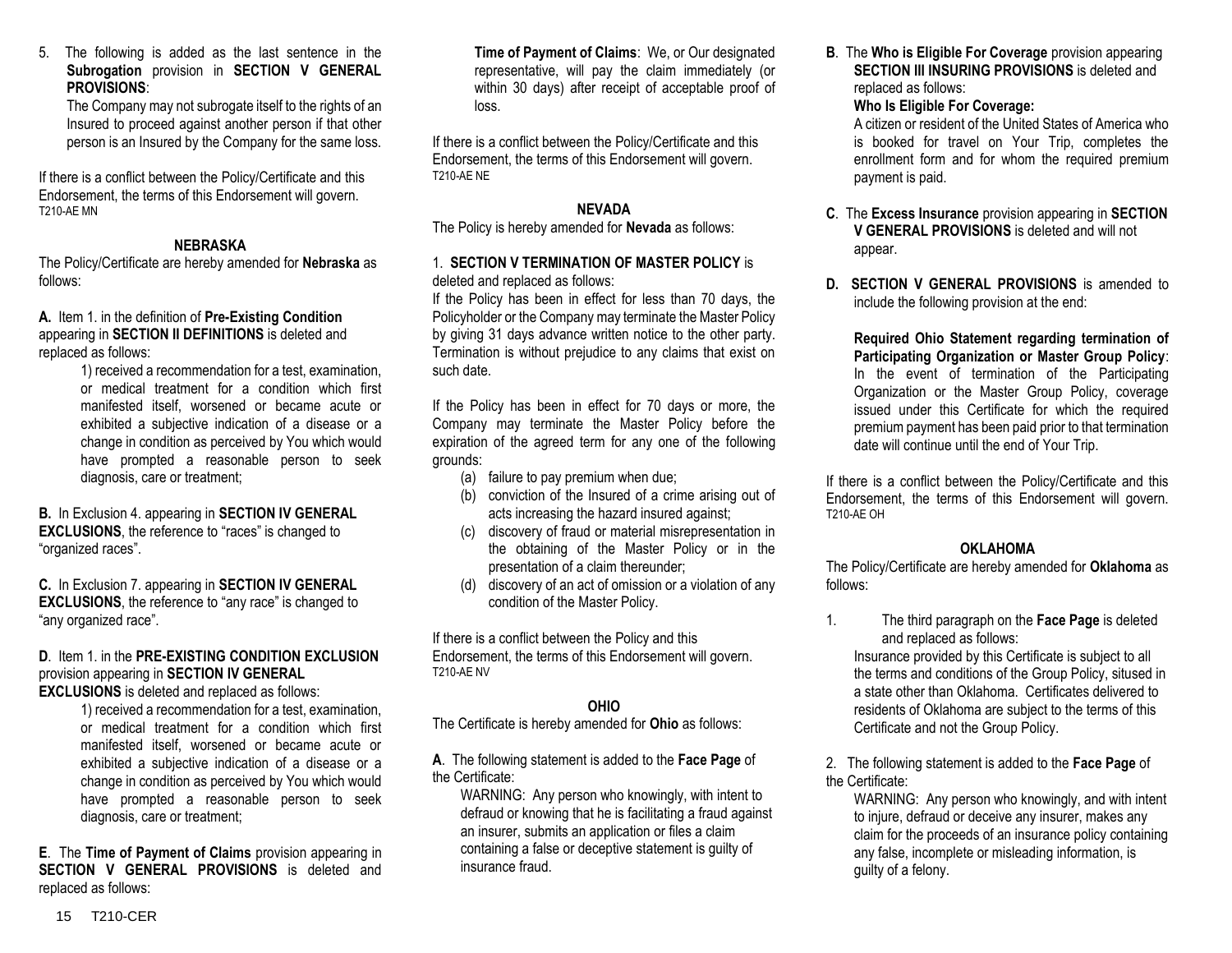#### 5. The following is added as the last sentence in the **Subrogation** provision in **SECTION V GENERAL PROVISIONS**:

The Company may not subrogate itself to the rights of an Insured to proceed against another person if that other person is an Insured by the Company for the same loss.

If there is a conflict between the Policy/Certificate and this Endorsement, the terms of this Endorsement will govern. T210-AE MN

# **NEBRASKA**

The Policy/Certificate are hereby amended for **Nebraska** as follows:

**A.** Item 1. in the definition of **Pre-Existing Condition** appearing in **SECTION II DEFINITIONS** is deleted and replaced as follows:

> 1) received a recommendation for a test, examination, or medical treatment for a condition which first manifested itself, worsened or became acute or exhibited a subjective indication of a disease or a change in condition as perceived by You which would have prompted a reasonable person to seek diagnosis, care or treatment;

**B.** In Exclusion 4. appearing in **SECTION IV GENERAL EXCLUSIONS**, the reference to "races" is changed to "organized races".

**C.** In Exclusion 7. appearing in **SECTION IV GENERAL EXCLUSIONS**, the reference to "any race" is changed to "any organized race".

# **D**. Item 1. in the **PRE-EXISTING CONDITION EXCLUSION** provision appearing in **SECTION IV GENERAL**

**EXCLUSIONS** is deleted and replaced as follows:

1) received a recommendation for a test, examination, or medical treatment for a condition which first manifested itself, worsened or became acute or exhibited a subjective indication of a disease or a change in condition as perceived by You which would have prompted a reasonable person to seek diagnosis, care or treatment;

**E**. The **Time of Payment of Claims** provision appearing in **SECTION V GENERAL PROVISIONS** is deleted and replaced as follows:

**Time of Payment of Claims**: We, or Our designated representative, will pay the claim immediately (or within 30 days) after receipt of acceptable proof of loss.

If there is a conflict between the Policy/Certificate and this Endorsement, the terms of this Endorsement will govern. T210-AE NE

# **NEVADA**

The Policy is hereby amended for **Nevada** as follows:

## 1. **SECTION V TERMINATION OF MASTER POLICY** is deleted and replaced as follows:

If the Policy has been in effect for less than 70 days, the Policyholder or the Company may terminate the Master Policy by giving 31 days advance written notice to the other party. Termination is without prejudice to any claims that exist on such date.

If the Policy has been in effect for 70 days or more, the Company may terminate the Master Policy before the expiration of the agreed term for any one of the following grounds:

- (a) failure to pay premium when due;
- (b) conviction of the Insured of a crime arising out of acts increasing the hazard insured against;
- (c) discovery of fraud or material misrepresentation in the obtaining of the Master Policy or in the presentation of a claim thereunder;
- (d) discovery of an act of omission or a violation of any condition of the Master Policy.

If there is a conflict between the Policy and this Endorsement, the terms of this Endorsement will govern. T210-AE NV

# **OHIO**

The Certificate is hereby amended for **Ohio** as follows:

# **A**. The following statement is added to the **Face Page** of the Certificate:

WARNING: Any person who knowingly, with intent to defraud or knowing that he is facilitating a fraud against an insurer, submits an application or files a claim containing a false or deceptive statement is guilty of insurance fraud.

**B**. The **Who is Eligible For Coverage** provision appearing **SECTION III INSURING PROVISIONS** is deleted and replaced as follows:

# **Who Is Eligible For Coverage:**

A citizen or resident of the United States of America who is booked for travel on Your Trip, completes the enrollment form and for whom the required premium payment is paid.

- **C**. The **Excess Insurance** provision appearing in **SECTION V GENERAL PROVISIONS** is deleted and will not appear.
- **D. SECTION V GENERAL PROVISIONS** is amended to include the following provision at the end:

**Required Ohio Statement regarding termination of Participating Organization or Master Group Policy**: In the event of termination of the Participating Organization or the Master Group Policy, coverage issued under this Certificate for which the required premium payment has been paid prior to that termination date will continue until the end of Your Trip.

If there is a conflict between the Policy/Certificate and this Endorsement, the terms of this Endorsement will govern. T210-AE OH

# **OKLAHOMA**

The Policy/Certificate are hereby amended for **Oklahoma** as follows:

1. The third paragraph on the **Face Page** is deleted and replaced as follows:

Insurance provided by this Certificate is subject to all the terms and conditions of the Group Policy, sitused in a state other than Oklahoma. Certificates delivered to residents of Oklahoma are subject to the terms of this Certificate and not the Group Policy.

2. The following statement is added to the **Face Page** of the Certificate:

WARNING: Any person who knowingly, and with intent to injure, defraud or deceive any insurer, makes any claim for the proceeds of an insurance policy containing any false, incomplete or misleading information, is guilty of a felony.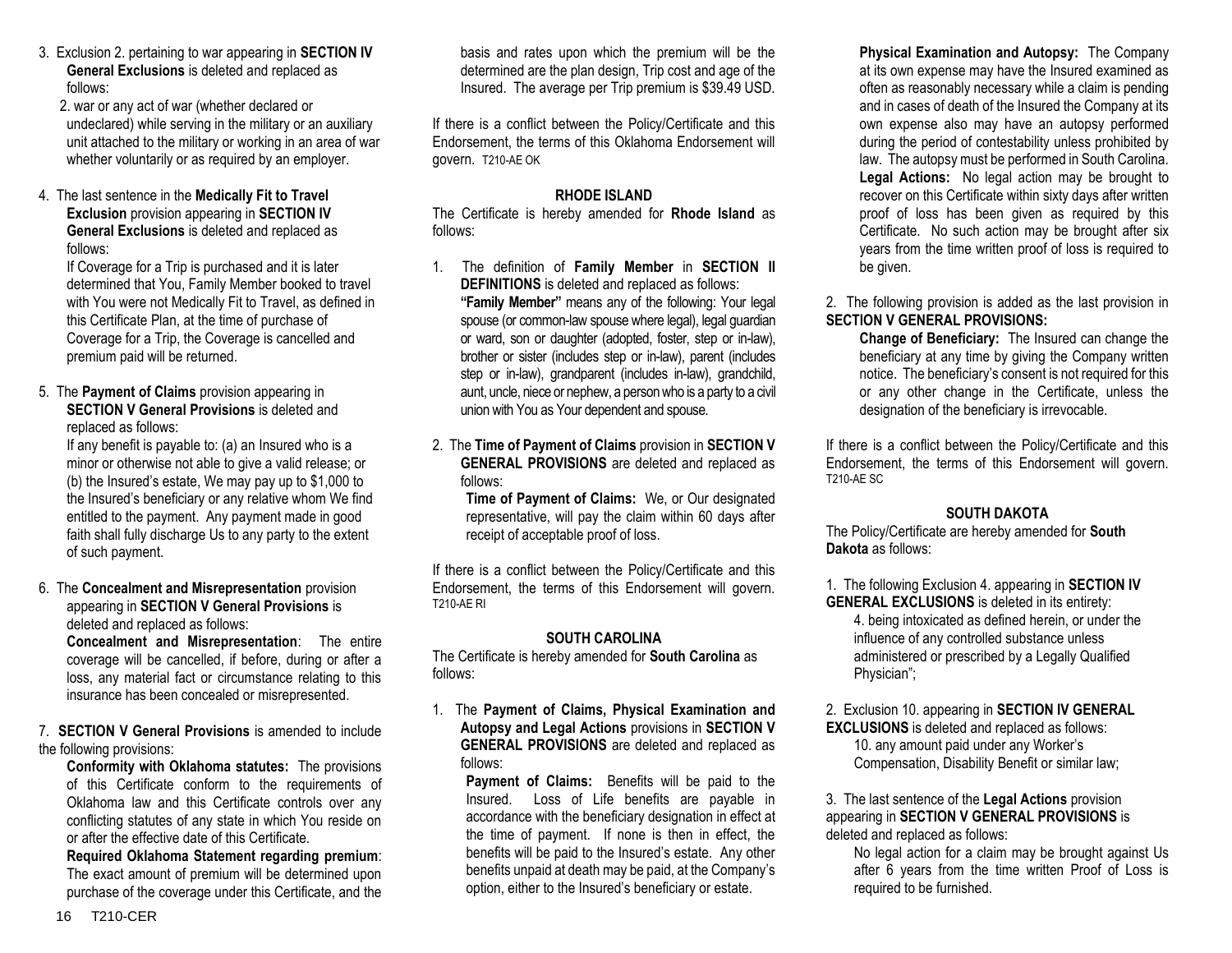- 3. Exclusion 2. pertaining to war appearing in **SECTION IV General Exclusions** is deleted and replaced as follows:
	- 2. war or any act of war (whether declared or undeclared) while serving in the military or an auxiliary unit attached to the military or working in an area of war whether voluntarily or as required by an employer.
- 4. The last sentence in the **Medically Fit to Travel Exclusion** provision appearing in **SECTION IV General Exclusions** is deleted and replaced as follows:

If Coverage for a Trip is purchased and it is later determined that You, Family Member booked to travel with You were not Medically Fit to Travel, as defined in this Certificate Plan, at the time of purchase of Coverage for a Trip, the Coverage is cancelled and premium paid will be returned.

5. The **Payment of Claims** provision appearing in **SECTION V General Provisions** is deleted and replaced as follows:

If any benefit is payable to: (a) an Insured who is a minor or otherwise not able to give a valid release; or (b) the Insured's estate, We may pay up to \$1,000 to the Insured's beneficiary or any relative whom We find entitled to the payment. Any payment made in good faith shall fully discharge Us to any party to the extent of such payment.

6. The **Concealment and Misrepresentation** provision appearing in **SECTION V General Provisions** is deleted and replaced as follows:

**Concealment and Misrepresentation**: The entire coverage will be cancelled, if before, during or after a loss, any material fact or circumstance relating to this insurance has been concealed or misrepresented.

7. **SECTION V General Provisions** is amended to include the following provisions:

**Conformity with Oklahoma statutes:** The provisions of this Certificate conform to the requirements of Oklahoma law and this Certificate controls over any conflicting statutes of any state in which You reside on or after the effective date of this Certificate.

**Required Oklahoma Statement regarding premium**: The exact amount of premium will be determined upon purchase of the coverage under this Certificate, and the

basis and rates upon which the premium will be the determined are the plan design, Trip cost and age of the Insured. The average per Trip premium is \$39.49 USD.

If there is a conflict between the Policy/Certificate and this Endorsement, the terms of this Oklahoma Endorsement will govern. T210-AE OK

# **RHODE ISLAND**

The Certificate is hereby amended for **Rhode Island** as follows:

- 1. The definition of **Family Member** in **SECTION II DEFINITIONS** is deleted and replaced as follows: **"Family Member"** means any of the following: Your legal spouse (or common-law spouse where legal), legal guardian or ward, son or daughter (adopted, foster, step or in-law), brother or sister (includes step or in-law), parent (includes step or in-law), grandparent (includes in-law), grandchild, aunt, uncle, niece or nephew, a person who is a party to a civil union with You as Your dependent and spouse.
- 2. The **Time of Payment of Claims** provision in **SECTION V GENERAL PROVISIONS** are deleted and replaced as follows:

**Time of Payment of Claims:** We, or Our designated representative, will pay the claim within 60 days after receipt of acceptable proof of loss.

If there is a conflict between the Policy/Certificate and this Endorsement, the terms of this Endorsement will govern. T210-AE RI

# **SOUTH CAROLINA**

The Certificate is hereby amended for **South Carolina** as follows:

1. The **Payment of Claims, Physical Examination and Autopsy and Legal Actions** provisions in **SECTION V GENERAL PROVISIONS** are deleted and replaced as follows:

**Payment of Claims:** Benefits will be paid to the Insured. Loss of Life benefits are payable in accordance with the beneficiary designation in effect at the time of payment. If none is then in effect, the benefits will be paid to the Insured's estate. Any other benefits unpaid at death may be paid, at the Company's option, either to the Insured's beneficiary or estate.

**Physical Examination and Autopsy:** The Company at its own expense may have the Insured examined as often as reasonably necessary while a claim is pending and in cases of death of the Insured the Company at its own expense also may have an autopsy performed during the period of contestability unless prohibited by law. The autopsy must be performed in South Carolina. **Legal Actions:** No legal action may be brought to recover on this Certificate within sixty days after written proof of loss has been given as required by this Certificate. No such action may be brought after six years from the time written proof of loss is required to be given.

2. The following provision is added as the last provision in **SECTION V GENERAL PROVISIONS:** 

**Change of Beneficiary:** The Insured can change the beneficiary at any time by giving the Company written notice. The beneficiary's consent is not required for this or any other change in the Certificate, unless the designation of the beneficiary is irrevocable.

If there is a conflict between the Policy/Certificate and this Endorsement, the terms of this Endorsement will govern. T210-AE SC

# **SOUTH DAKOTA**

The Policy/Certificate are hereby amended for **South Dakota** as follows:

1. The following Exclusion 4. appearing in **SECTION IV GENERAL EXCLUSIONS** is deleted in its entirety:

4. being intoxicated as defined herein, or under the influence of any controlled substance unless administered or prescribed by a Legally Qualified Physician";

2. Exclusion 10. appearing in **SECTION IV GENERAL EXCLUSIONS** is deleted and replaced as follows: 10. any amount paid under any Worker's Compensation, Disability Benefit or similar law;

#### 3. The last sentence of the **Legal Actions** provision appearing in **SECTION V GENERAL PROVISIONS** is deleted and replaced as follows:

No legal action for a claim may be brought against Us after 6 years from the time written Proof of Loss is required to be furnished.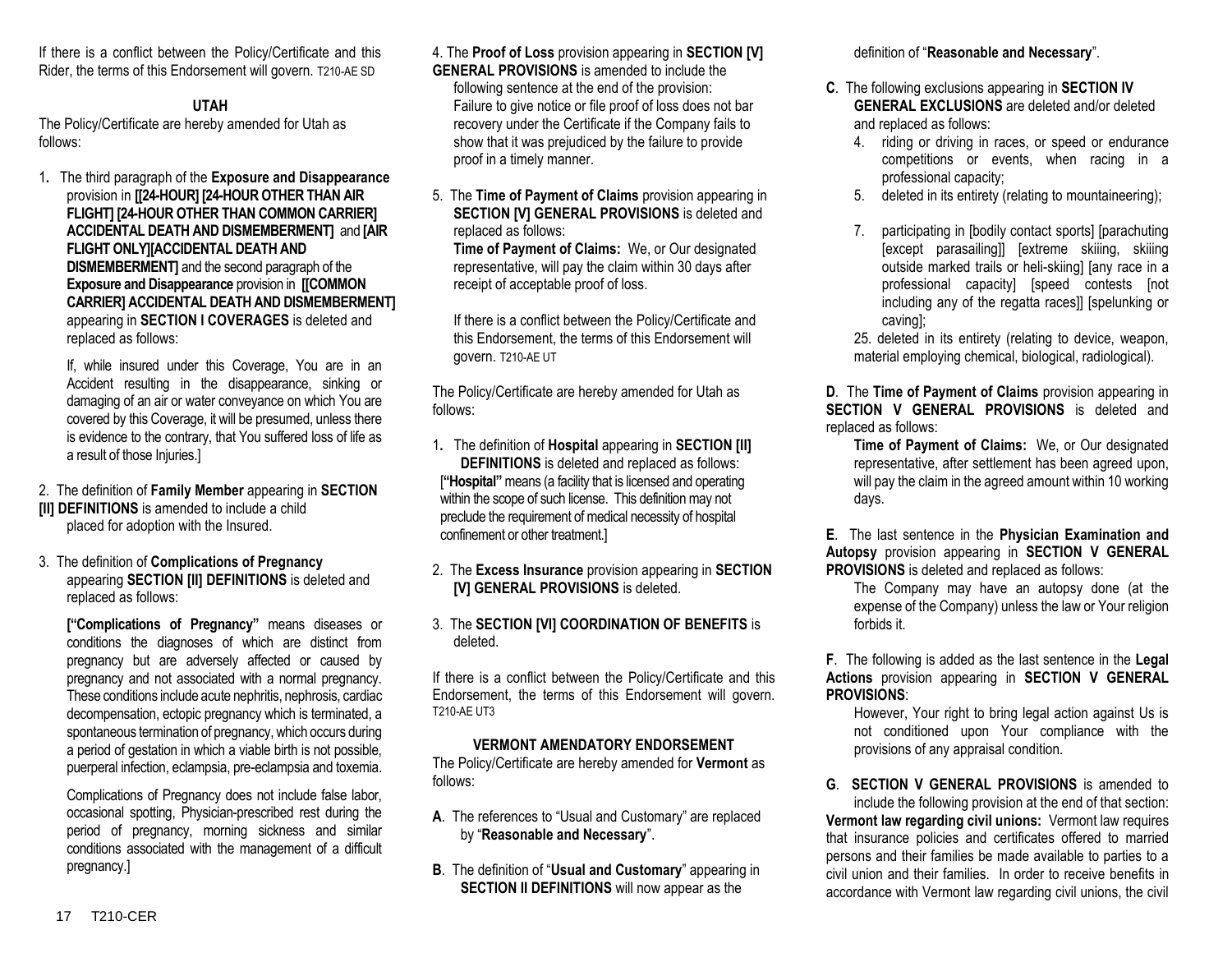If there is a conflict between the Policy/Certificate and this Rider, the terms of this Endorsement will govern. T210-AE SD

# **UTAH**

The Policy/Certificate are hereby amended for Utah as follows:

1**.** The third paragraph of the **Exposure and Disappearance** provision in **[[24-HOUR] [24-HOUR OTHER THAN AIR FLIGHT] [24-HOUR OTHER THAN COMMON CARRIER] ACCIDENTAL DEATH AND DISMEMBERMENT]** and **[AIR FLIGHT ONLY][ACCIDENTAL DEATH AND DISMEMBERMENT]** and the second paragraph of the **Exposure and Disappearance** provision in **[[COMMON CARRIER] ACCIDENTAL DEATH AND DISMEMBERMENT]** appearing in **SECTION I COVERAGES** is deleted and replaced as follows:

If, while insured under this Coverage, You are in an Accident resulting in the disappearance, sinking or damaging of an air or water conveyance on which You are covered by this Coverage, it will be presumed, unless there is evidence to the contrary, that You suffered loss of life as a result of those Injuries.]

- 2. The definition of **Family Member** appearing in **SECTION [II] DEFINITIONS** is amended to include a child placed for adoption with the Insured.
- 3. The definition of **Complications of Pregnancy** appearing **SECTION [II] DEFINITIONS** is deleted and replaced as follows:

**["Complications of Pregnancy"** means diseases or conditions the diagnoses of which are distinct from pregnancy but are adversely affected or caused by pregnancy and not associated with a normal pregnancy. These conditions include acute nephritis, nephrosis, cardiac decompensation, ectopic pregnancy which is terminated, a spontaneous termination of pregnancy, which occurs during a period of gestation in which a viable birth is not possible, puerperal infection, eclampsia, pre-eclampsia and toxemia.

Complications of Pregnancy does not include false labor, occasional spotting, Physician-prescribed rest during the period of pregnancy, morning sickness and similar conditions associated with the management of a difficult pregnancy.]

4. The **Proof of Loss** provision appearing in **SECTION [V] GENERAL PROVISIONS** is amended to include the following sentence at the end of the provision: Failure to give notice or file proof of loss does not bar recovery under the Certificate if the Company fails to show that it was prejudiced by the failure to provide proof in a timely manner.

5. The **Time of Payment of Claims** provision appearing in **SECTION [V] GENERAL PROVISIONS** is deleted and replaced as follows:

**Time of Payment of Claims:** We, or Our designated representative, will pay the claim within 30 days after receipt of acceptable proof of loss.

If there is a conflict between the Policy/Certificate and this Endorsement, the terms of this Endorsement will govern. T210-AE UT

The Policy/Certificate are hereby amended for Utah as follows:

- 1**.** The definition of **Hospital** appearing in **SECTION [II] DEFINITIONS** is deleted and replaced as follows: [**"Hospital"** means (a facility that is licensed and operating within the scope of such license. This definition may not preclude the requirement of medical necessity of hospital confinement or other treatment.]
- 2. The **Excess Insurance** provision appearing in **SECTION [V] GENERAL PROVISIONS** is deleted.
- 3. The **SECTION [VI] COORDINATION OF BENEFITS** is deleted.

If there is a conflict between the Policy/Certificate and this Endorsement, the terms of this Endorsement will govern. T210-AE UT3

# **VERMONT AMENDATORY ENDORSEMENT**

The Policy/Certificate are hereby amended for **Vermont** as follows:

- **A**. The references to "Usual and Customary" are replaced by "**Reasonable and Necessary**".
- **B**. The definition of "**Usual and Customary**" appearing in **SECTION II DEFINITIONS** will now appear as the

definition of "**Reasonable and Necessary**".

- **C**. The following exclusions appearing in **SECTION IV GENERAL EXCLUSIONS** are deleted and/or deleted and replaced as follows:
	- 4. riding or driving in races, or speed or endurance competitions or events, when racing in a professional capacity;
	- 5. deleted in its entirety (relating to mountaineering);
	- 7. participating in [bodily contact sports] [parachuting [except parasailing]] [extreme skiiing, skiiing outside marked trails or heli-skiing] [any race in a professional capacity] [speed contests [not including any of the regatta races]] [spelunking or caving];

25. deleted in its entirety (relating to device, weapon, material employing chemical, biological, radiological).

**D**. The **Time of Payment of Claims** provision appearing in **SECTION V GENERAL PROVISIONS** is deleted and replaced as follows:

**Time of Payment of Claims:** We, or Our designated representative, after settlement has been agreed upon, will pay the claim in the agreed amount within 10 working days.

**E**. The last sentence in the **Physician Examination and Autopsy** provision appearing in **SECTION V GENERAL PROVISIONS** is deleted and replaced as follows:

The Company may have an autopsy done (at the expense of the Company) unless the law or Your religion forbids it.

**F**. The following is added as the last sentence in the **Legal Actions** provision appearing in **SECTION V GENERAL PROVISIONS**:

However. Your right to bring legal action against Us is not conditioned upon Your compliance with the provisions of any appraisal condition.

**G**. **SECTION V GENERAL PROVISIONS** is amended to include the following provision at the end of that section: **Vermont law regarding civil unions:** Vermont law requires that insurance policies and certificates offered to married persons and their families be made available to parties to a civil union and their families. In order to receive benefits in accordance with Vermont law regarding civil unions, the civil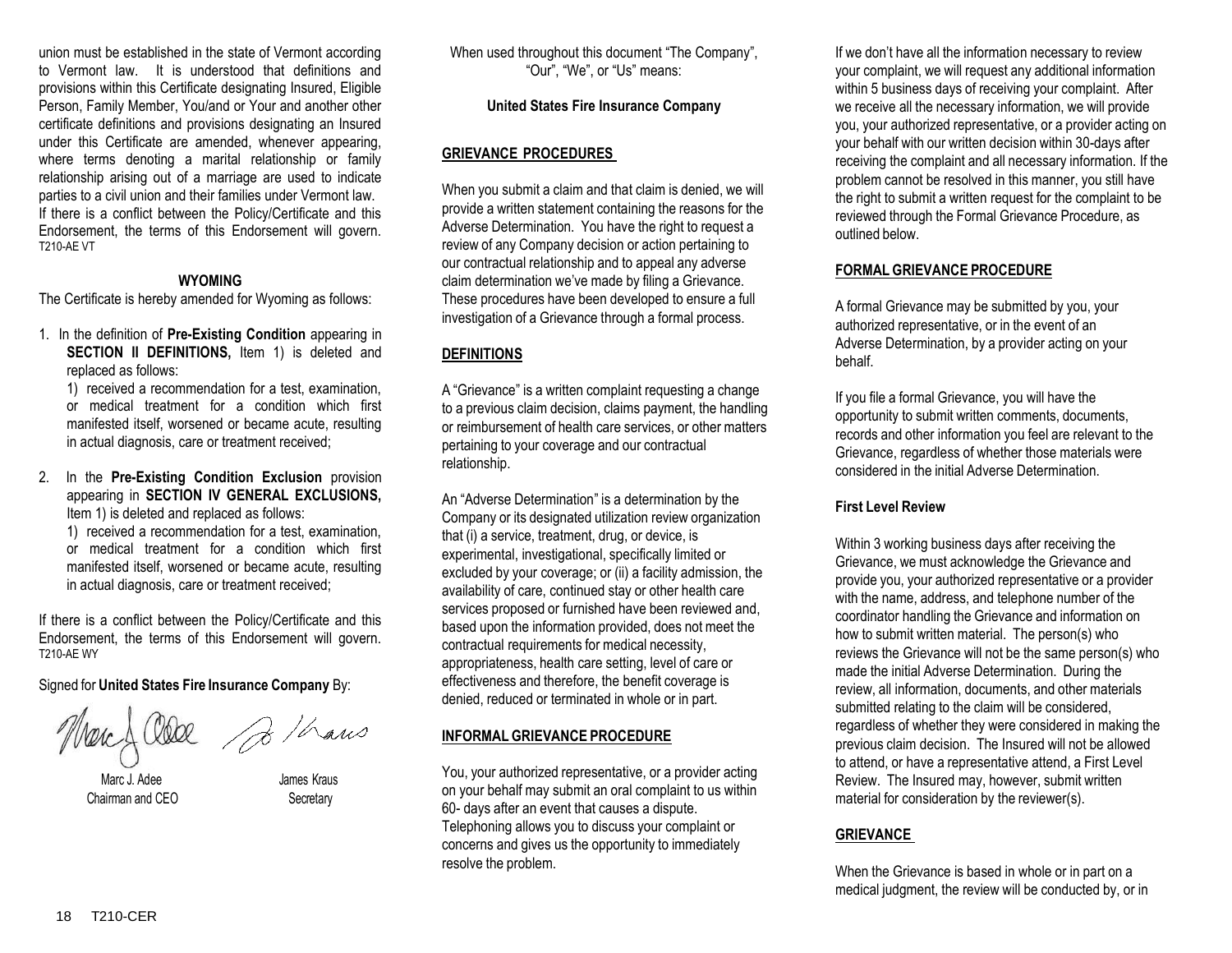union must be established in the state of Vermont according to Vermont law. It is understood that definitions and provisions within this Certificate designating Insured, Eligible Person, Family Member, You/and or Your and another other certificate definitions and provisions designating an Insured under this Certificate are amended, whenever appearing, where terms denoting a marital relationship or family relationship arising out of a marriage are used to indicate parties to a civil union and their families under Vermont law. If there is a conflict between the Policy/Certificate and this Endorsement, the terms of this Endorsement will govern. T210-AE VT

#### **WYOMING**

The Certificate is hereby amended for Wyoming as follows:

1. In the definition of **Pre-Existing Condition** appearing in **SECTION II DEFINITIONS, Item 1) is deleted and** replaced as follows:

1) received a recommendation for a test, examination, or medical treatment for a condition which first manifested itself, worsened or became acute, resulting in actual diagnosis, care or treatment received;

2. In the **Pre-Existing Condition Exclusion** provision appearing in **SECTION IV GENERAL EXCLUSIONS,**  Item 1) is deleted and replaced as follows:

1) received a recommendation for a test, examination, or medical treatment for a condition which first manifested itself, worsened or became acute, resulting in actual diagnosis, care or treatment received;

If there is a conflict between the Policy/Certificate and this Endorsement, the terms of this Endorsement will govern. T210-AE WY

Signed for **United States Fire Insurance Company** By:

Marc J. Adee James Kraus Chairman and CEO Secretary

When used throughout this document "The Company", "Our", "We", or "Us" means:

# **United States Fire Insurance Company**

# **GRIEVANCE PROCEDURES**

When you submit a claim and that claim is denied, we will provide a written statement containing the reasons for the Adverse Determination. You have the right to request a review of any Company decision or action pertaining to our contractual relationship and to appeal any adverse claim determination we've made by filing a Grievance. These procedures have been developed to ensure a full investigation of a Grievance through a formal process.

# **DEFINITIONS**

A "Grievance" is a written complaint requesting a change to a previous claim decision, claims payment, the handling or reimbursement of health care services, or other matters pertaining to your coverage and our contractual relationship.

An "Adverse Determination" is a determination by the Company or its designated utilization review organization that (i) a service, treatment, drug, or device, is experimental, investigational, specifically limited or excluded by your coverage; or (ii) a facility admission, the availability of care, continued stay or other health care services proposed or furnished have been reviewed and, based upon the information provided, does not meet the contractual requirements for medical necessity, appropriateness, health care setting, level of care or effectiveness and therefore, the benefit coverage is denied, reduced or terminated in whole or in part.

# **INFORMAL GRIEVANCE PROCEDURE**

You, your authorized representative, or a provider acting on your behalf may submit an oral complaint to us within 60- days after an event that causes a dispute. Telephoning allows you to discuss your complaint or concerns and gives us the opportunity to immediately resolve the problem.

If we don't have all the information necessary to review your complaint, we will request any additional information within 5 business days of receiving your complaint. After we receive all the necessary information, we will provide you, your authorized representative, or a provider acting on your behalf with our written decision within 30-days after receiving the complaint and all necessary information. If the problem cannot be resolved in this manner, you still have the right to submit a written request for the complaint to be reviewed through the Formal Grievance Procedure, as outlined below.

# **FORMAL GRIEVANCE PROCEDURE**

A formal Grievance may be submitted by you, your authorized representative, or in the event of an Adverse Determination, by a provider acting on your behalf.

If you file a formal Grievance, you will have the opportunity to submit written comments, documents, records and other information you feel are relevant to the Grievance, regardless of whether those materials were considered in the initial Adverse Determination.

# **First Level Review**

Within 3 working business days after receiving the Grievance, we must acknowledge the Grievance and provide you, your authorized representative or a provider with the name, address, and telephone number of the coordinator handling the Grievance and information on how to submit written material. The person(s) who reviews the Grievance will not be the same person(s) who made the initial Adverse Determination. During the review, all information, documents, and other materials submitted relating to the claim will be considered, regardless of whether they were considered in making the previous claim decision. The Insured will not be allowed to attend, or have a representative attend, a First Level Review. The Insured may, however, submit written material for consideration by the reviewer(s).

# **GRIEVANCE**

When the Grievance is based in whole or in part on a medical judgment, the review will be conducted by, or in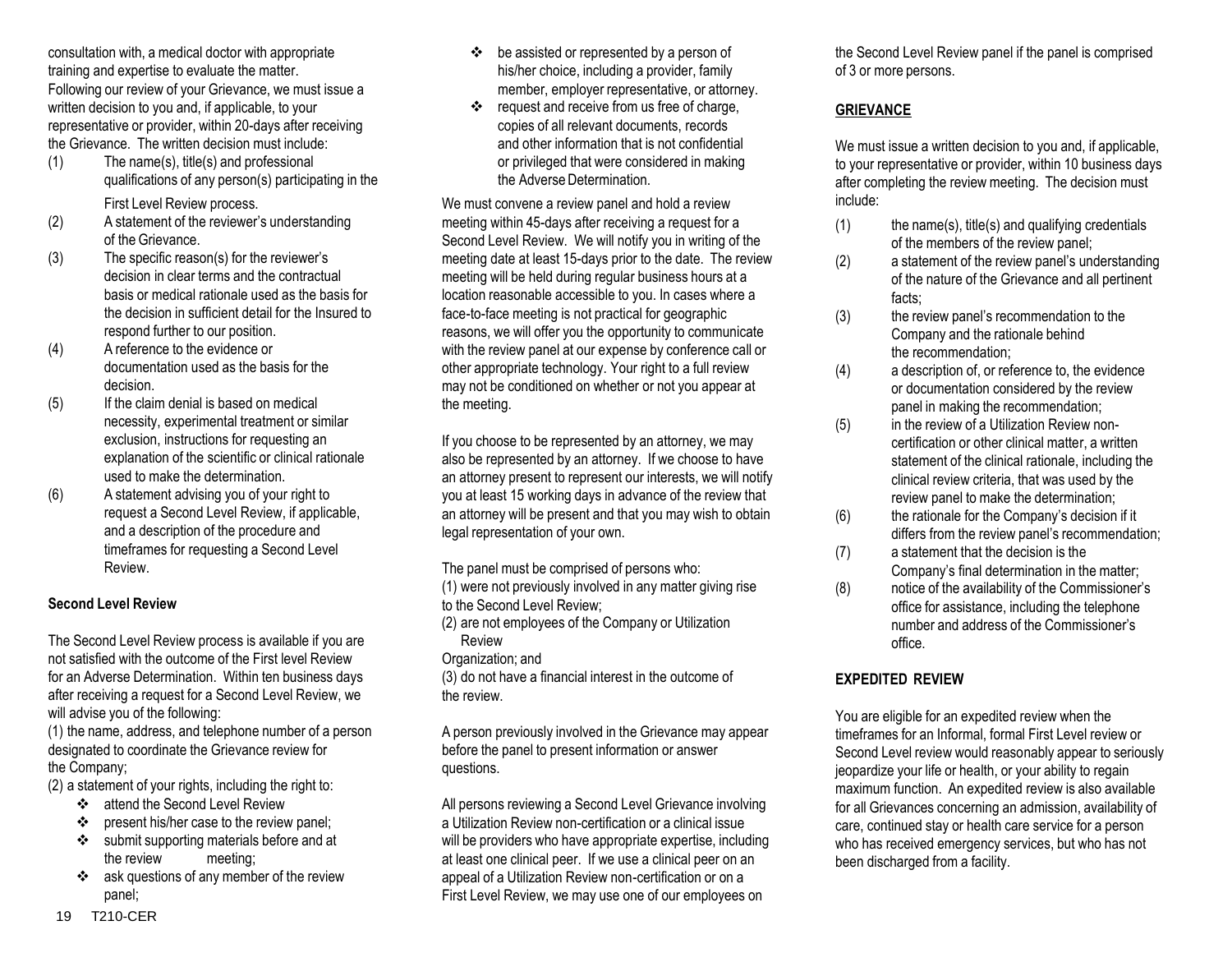consultation with, a medical doctor with appropriate training and expertise to evaluate the matter. Following our review of your Grievance, we must issue a written decision to you and, if applicable, to your representative or provider, within 20-days after receiving the Grievance. The written decision must include:

- (1) The name(s), title(s) and professional qualifications of any person(s) participating in the First Level Review process.
- (2) A statement of the reviewer's understanding of the Grievance.
- (3) The specific reason(s) for the reviewer's decision in clear terms and the contractual basis or medical rationale used as the basis for the decision in sufficient detail for the Insured to respond further to our position.
- (4) A reference to the evidence or documentation used as the basis for the decision.
- (5) If the claim denial is based on medical necessity, experimental treatment or similar exclusion, instructions for requesting an explanation of the scientific or clinical rationale used to make the determination.
- (6) A statement advising you of your right to request a Second Level Review, if applicable, and a description of the procedure and timeframes for requesting a Second Level Review.

# **Second Level Review**

The Second Level Review process is available if you are not satisfied with the outcome of the First level Review for an Adverse Determination. Within ten business days after receiving a request for a Second Level Review, we will advise you of the following:

(1) the name, address, and telephone number of a person designated to coordinate the Grievance review for the Company;

(2) a statement of your rights, including the right to:

- ❖ attend the Second Level Review
- $\div$  present his/her case to the review panel:
- submit supporting materials before and at the review meeting;
- \* ask questions of any member of the review panel;
- $\div$  be assisted or represented by a person of his/her choice, including a provider, family member, employer representative, or attorney.
- \* request and receive from us free of charge, copies of all relevant documents, records and other information that is not confidential or privileged that were considered in making the Adverse Determination.

We must convene a review panel and hold a review meeting within 45-days after receiving a request for a Second Level Review. We will notify you in writing of the meeting date at least 15-days prior to the date. The review meeting will be held during regular business hours at a location reasonable accessible to you. In cases where a face-to-face meeting is not practical for geographic reasons, we will offer you the opportunity to communicate with the review panel at our expense by conference call or other appropriate technology. Your right to a full review may not be conditioned on whether or not you appear at the meeting.

If you choose to be represented by an attorney, we may also be represented by an attorney. If we choose to have an attorney present to represent our interests, we will notify you at least 15 working days in advance of the review that an attorney will be present and that you may wish to obtain legal representation of your own.

The panel must be comprised of persons who:

(1) were not previously involved in any matter giving rise to the Second Level Review;

(2) are not employees of the Company or Utilization

Review Organization; and

(3) do not have a financial interest in the outcome of the review.

A person previously involved in the Grievance may appear before the panel to present information or answer questions.

All persons reviewing a Second Level Grievance involving a Utilization Review non-certification or a clinical issue will be providers who have appropriate expertise, including at least one clinical peer. If we use a clinical peer on an appeal of a Utilization Review non-certification or on a First Level Review, we may use one of our employees on

the Second Level Review panel if the panel is comprised of 3 or more persons.

# **GRIEVANCE**

We must issue a written decision to you and, if applicable, to your representative or provider, within 10 business days after completing the review meeting. The decision must include:

- $(1)$  the name(s), title(s) and qualifying credentials of the members of the review panel;
- (2) a statement of the review panel's understanding of the nature of the Grievance and all pertinent facts;
- (3) the review panel's recommendation to the Company and the rationale behind the recommendation;
- (4) a description of, or reference to, the evidence or documentation considered by the review panel in making the recommendation;
- (5) in the review of a Utilization Review noncertification or other clinical matter, a written statement of the clinical rationale, including the clinical review criteria, that was used by the review panel to make the determination;
- (6) the rationale for the Company's decision if it differs from the review panel's recommendation;
- (7) a statement that the decision is the Company's final determination in the matter;
- (8) notice of the availability of the Commissioner's office for assistance, including the telephone number and address of the Commissioner's office.

# **EXPEDITED REVIEW**

You are eligible for an expedited review when the timeframes for an Informal, formal First Level review or Second Level review would reasonably appear to seriously jeopardize your life or health, or your ability to regain maximum function. An expedited review is also available for all Grievances concerning an admission, availability of care, continued stay or health care service for a person who has received emergency services, but who has not been discharged from a facility.